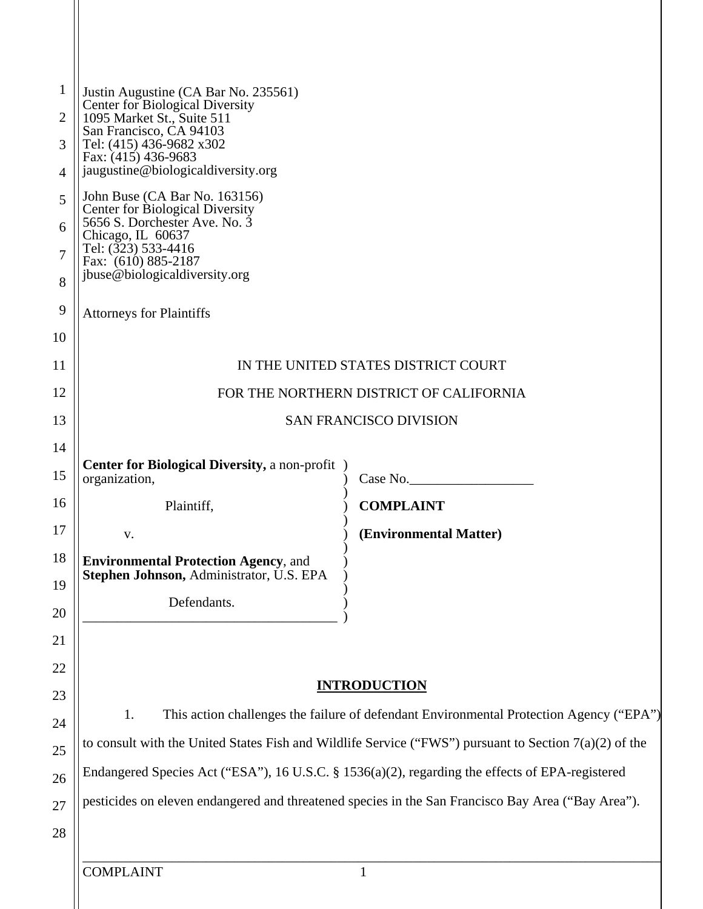| 1<br>2   | Justin Augustine (CA Bar No. 235561)<br><b>Center for Biological Diversity</b><br>1095 Market St., Suite 511 |                                                                                                    |
|----------|--------------------------------------------------------------------------------------------------------------|----------------------------------------------------------------------------------------------------|
| 3        | San Francisco, CA 94103<br>Tel: (415) 436-9682 x302                                                          |                                                                                                    |
| 4        | Fax: (415) 436-9683<br>jaugustine@biologicaldiversity.org                                                    |                                                                                                    |
| 5        | John Buse (CA Bar No. 163156)<br><b>Center for Biological Diversity</b>                                      |                                                                                                    |
| 6        | 5656 S. Dorchester Ave. No. 3<br>Chicago, IL 60637                                                           |                                                                                                    |
| 7        | Tel: (323) 533-4416<br>Fax: (610) 885-2187                                                                   |                                                                                                    |
| 8        | jbuse@biologicaldiversity.org                                                                                |                                                                                                    |
| 9        | <b>Attorneys for Plaintiffs</b>                                                                              |                                                                                                    |
| 10       |                                                                                                              |                                                                                                    |
| 11       | IN THE UNITED STATES DISTRICT COURT                                                                          |                                                                                                    |
| 12       | FOR THE NORTHERN DISTRICT OF CALIFORNIA                                                                      |                                                                                                    |
| 13       | <b>SAN FRANCISCO DIVISION</b>                                                                                |                                                                                                    |
| 14       | <b>Center for Biological Diversity, a non-profit</b> )                                                       |                                                                                                    |
| 15       | organization,                                                                                                | Case No.                                                                                           |
| 16       | Plaintiff,                                                                                                   | <b>COMPLAINT</b>                                                                                   |
| 17       | V.                                                                                                           | (Environmental Matter)                                                                             |
| 18       | <b>Environmental Protection Agency, and</b><br>Stephen Johnson, Administrator, U.S. EPA                      |                                                                                                    |
| 19       | Defendants.                                                                                                  |                                                                                                    |
| 20       |                                                                                                              |                                                                                                    |
| 21<br>22 |                                                                                                              |                                                                                                    |
| 23       | <b>INTRODUCTION</b>                                                                                          |                                                                                                    |
| 24       | 1.<br>This action challenges the failure of defendant Environmental Protection Agency ("EPA")                |                                                                                                    |
| 25       | to consult with the United States Fish and Wildlife Service ("FWS") pursuant to Section $7(a)(2)$ of the     |                                                                                                    |
| 26       |                                                                                                              | Endangered Species Act ("ESA"), 16 U.S.C. § 1536(a)(2), regarding the effects of EPA-registered    |
| 27       |                                                                                                              | pesticides on eleven endangered and threatened species in the San Francisco Bay Area ("Bay Area"). |
| 28       |                                                                                                              |                                                                                                    |
|          |                                                                                                              |                                                                                                    |
|          | <b>COMPLAINT</b>                                                                                             | 1                                                                                                  |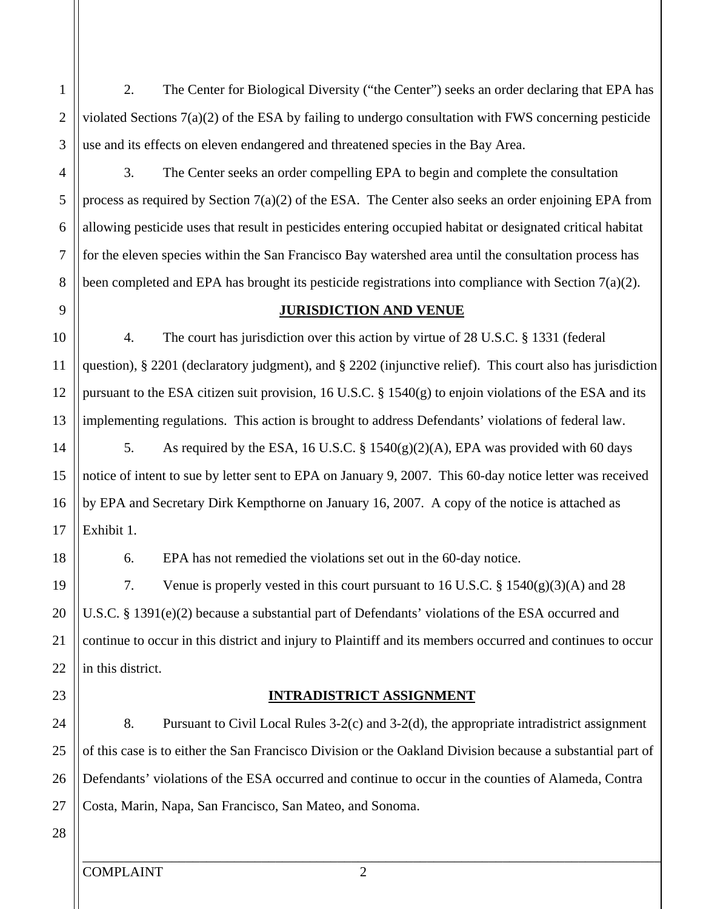2. The Center for Biological Diversity ("the Center") seeks an order declaring that EPA has violated Sections 7(a)(2) of the ESA by failing to undergo consultation with FWS concerning pesticide use and its effects on eleven endangered and threatened species in the Bay Area.

3. The Center seeks an order compelling EPA to begin and complete the consultation process as required by Section 7(a)(2) of the ESA. The Center also seeks an order enjoining EPA from allowing pesticide uses that result in pesticides entering occupied habitat or designated critical habitat for the eleven species within the San Francisco Bay watershed area until the consultation process has been completed and EPA has brought its pesticide registrations into compliance with Section 7(a)(2).

#### **JURISDICTION AND VENUE**

4. The court has jurisdiction over this action by virtue of 28 U.S.C. § 1331 (federal question), § 2201 (declaratory judgment), and § 2202 (injunctive relief). This court also has jurisdiction pursuant to the ESA citizen suit provision, 16 U.S.C.  $\S$  1540(g) to enjoin violations of the ESA and its implementing regulations. This action is brought to address Defendants' violations of federal law.

5. As required by the ESA, 16 U.S.C. § 1540(g)(2)(A), EPA was provided with 60 days notice of intent to sue by letter sent to EPA on January 9, 2007. This 60-day notice letter was received by EPA and Secretary Dirk Kempthorne on January 16, 2007. A copy of the notice is attached as Exhibit 1.

6. EPA has not remedied the violations set out in the 60-day notice.

7. Venue is properly vested in this court pursuant to 16 U.S.C. § 1540(g)(3)(A) and 28 U.S.C. § 1391(e)(2) because a substantial part of Defendants' violations of the ESA occurred and continue to occur in this district and injury to Plaintiff and its members occurred and continues to occur in this district.

### **INTRADISTRICT ASSIGNMENT**

8. Pursuant to Civil Local Rules 3-2(c) and 3-2(d), the appropriate intradistrict assignment of this case is to either the San Francisco Division or the Oakland Division because a substantial part of Defendants' violations of the ESA occurred and continue to occur in the counties of Alameda, Contra Costa, Marin, Napa, San Francisco, San Mateo, and Sonoma.

1

2

3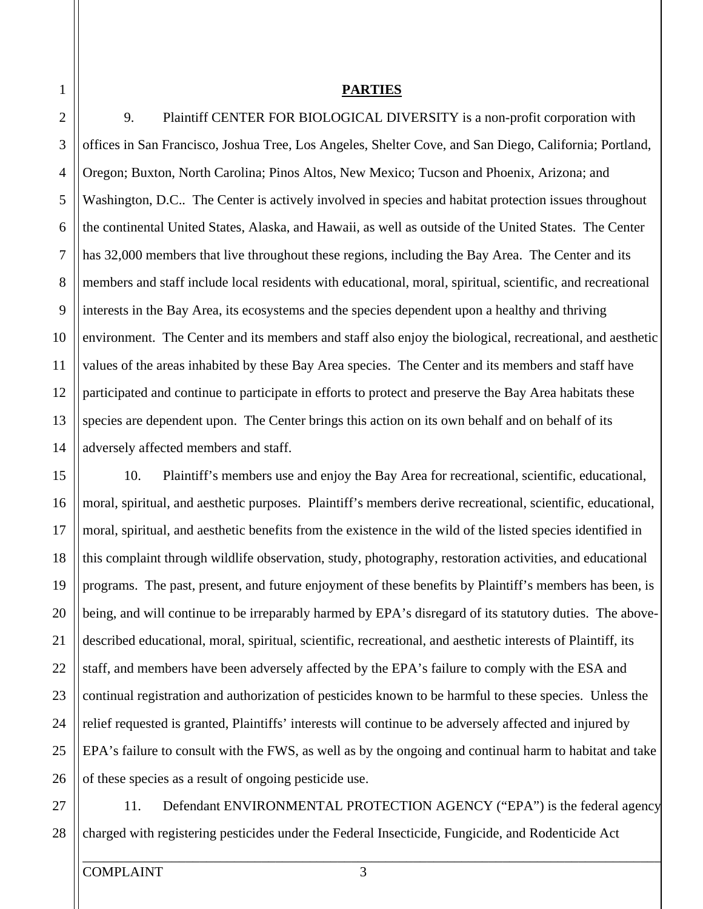#### **PARTIES**

5 10 2 3 4 6 7 8 9 11 12 13 14 9. Plaintiff CENTER FOR BIOLOGICAL DIVERSITY is a non-profit corporation with offices in San Francisco, Joshua Tree, Los Angeles, Shelter Cove, and San Diego, California; Portland, Oregon; Buxton, North Carolina; Pinos Altos, New Mexico; Tucson and Phoenix, Arizona; and Washington, D.C.. The Center is actively involved in species and habitat protection issues throughout the continental United States, Alaska, and Hawaii, as well as outside of the United States. The Center has 32,000 members that live throughout these regions, including the Bay Area. The Center and its members and staff include local residents with educational, moral, spiritual, scientific, and recreational interests in the Bay Area, its ecosystems and the species dependent upon a healthy and thriving environment. The Center and its members and staff also enjoy the biological, recreational, and aesthetic values of the areas inhabited by these Bay Area species. The Center and its members and staff have participated and continue to participate in efforts to protect and preserve the Bay Area habitats these species are dependent upon. The Center brings this action on its own behalf and on behalf of its adversely affected members and staff.

10. Plaintiff's members use and enjoy the Bay Area for recreational, scientific, educational, moral, spiritual, and aesthetic purposes. Plaintiff's members derive recreational, scientific, educational, moral, spiritual, and aesthetic benefits from the existence in the wild of the listed species identified in this complaint through wildlife observation, study, photography, restoration activities, and educational programs. The past, present, and future enjoyment of these benefits by Plaintiff's members has been, is being, and will continue to be irreparably harmed by EPA's disregard of its statutory duties. The abovedescribed educational, moral, spiritual, scientific, recreational, and aesthetic interests of Plaintiff, its staff, and members have been adversely affected by the EPA's failure to comply with the ESA and continual registration and authorization of pesticides known to be harmful to these species. Unless the relief requested is granted, Plaintiffs' interests will continue to be adversely affected and injured by EPA's failure to consult with the FWS, as well as by the ongoing and continual harm to habitat and take of these species as a result of ongoing pesticide use.

27 28 11. Defendant ENVIRONMENTAL PROTECTION AGENCY ("EPA") is the federal agency charged with registering pesticides under the Federal Insecticide, Fungicide, and Rodenticide Act

15

16

17

18

19

1

20

21

22

23

25

26

24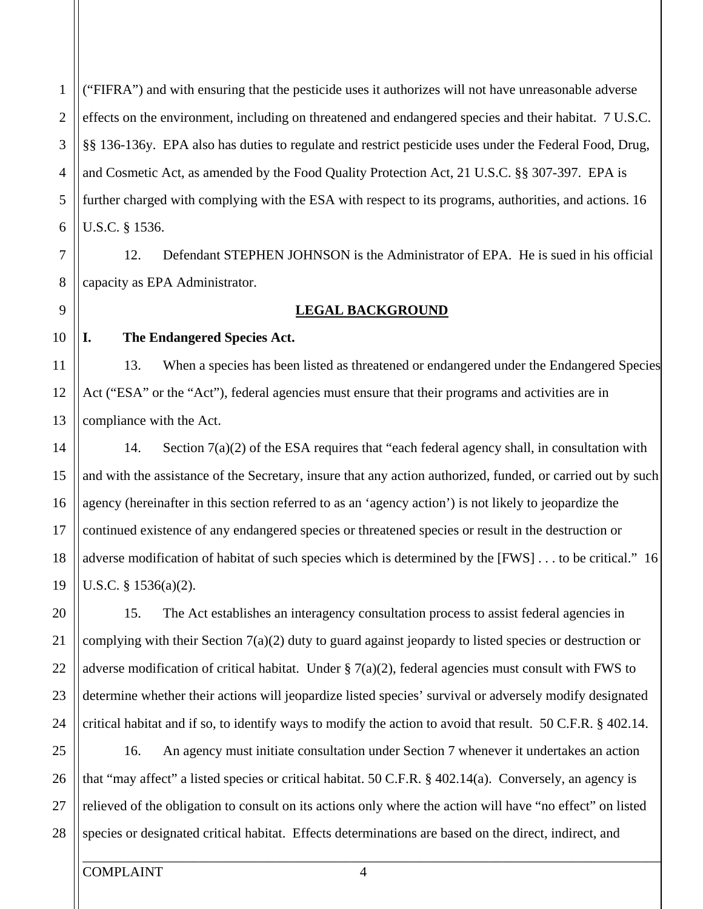5 1 2 3 4 6 ("FIFRA") and with ensuring that the pesticide uses it authorizes will not have unreasonable adverse effects on the environment, including on threatened and endangered species and their habitat. 7 U.S.C. §§ 136-136y. EPA also has duties to regulate and restrict pesticide uses under the Federal Food, Drug, and Cosmetic Act, as amended by the Food Quality Protection Act, 21 U.S.C. §§ 307-397. EPA is further charged with complying with the ESA with respect to its programs, authorities, and actions. 16 U.S.C. § 1536.

12. Defendant STEPHEN JOHNSON is the Administrator of EPA. He is sued in his official capacity as EPA Administrator.

#### **LEGAL BACKGROUND**

10 11

12

13

7

8

9

15

16

17

18

19

14

20

21

22

23

24

### **I. The Endangered Species Act.**

13. When a species has been listed as threatened or endangered under the Endangered Species Act ("ESA" or the "Act"), federal agencies must ensure that their programs and activities are in compliance with the Act.

14. Section  $7(a)(2)$  of the ESA requires that "each federal agency shall, in consultation with and with the assistance of the Secretary, insure that any action authorized, funded, or carried out by such agency (hereinafter in this section referred to as an 'agency action') is not likely to jeopardize the continued existence of any endangered species or threatened species or result in the destruction or adverse modification of habitat of such species which is determined by the [FWS] . . . to be critical." 16 U.S.C. § 1536(a)(2).

15. The Act establishes an interagency consultation process to assist federal agencies in complying with their Section 7(a)(2) duty to guard against jeopardy to listed species or destruction or adverse modification of critical habitat. Under  $\S 7(a)(2)$ , federal agencies must consult with FWS to determine whether their actions will jeopardize listed species' survival or adversely modify designated critical habitat and if so, to identify ways to modify the action to avoid that result. 50 C.F.R. § 402.14.

25 26 27 28 16. An agency must initiate consultation under Section 7 whenever it undertakes an action that "may affect" a listed species or critical habitat. 50 C.F.R. § 402.14(a). Conversely, an agency is relieved of the obligation to consult on its actions only where the action will have "no effect" on listed species or designated critical habitat. Effects determinations are based on the direct, indirect, and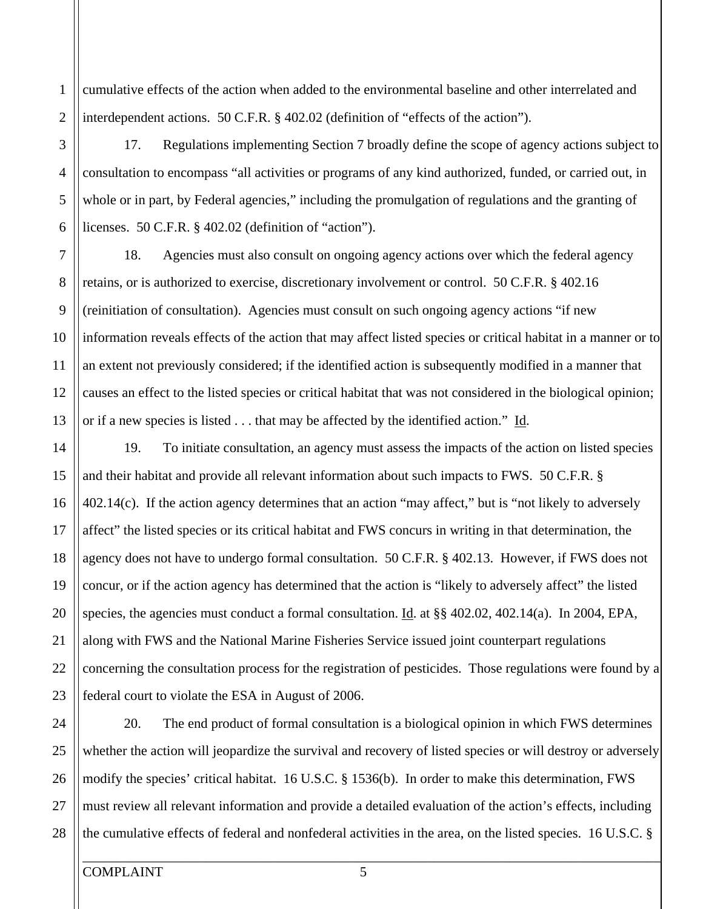2 cumulative effects of the action when added to the environmental baseline and other interrelated and interdependent actions. 50 C.F.R. § 402.02 (definition of "effects of the action").

17. Regulations implementing Section 7 broadly define the scope of agency actions subject to consultation to encompass "all activities or programs of any kind authorized, funded, or carried out, in whole or in part, by Federal agencies," including the promulgation of regulations and the granting of licenses. 50 C.F.R. § 402.02 (definition of "action").

18. Agencies must also consult on ongoing agency actions over which the federal agency retains, or is authorized to exercise, discretionary involvement or control. 50 C.F.R. § 402.16 (reinitiation of consultation). Agencies must consult on such ongoing agency actions "if new information reveals effects of the action that may affect listed species or critical habitat in a manner or to an extent not previously considered; if the identified action is subsequently modified in a manner that causes an effect to the listed species or critical habitat that was not considered in the biological opinion; or if a new species is listed . . . that may be affected by the identified action." Id.

19. To initiate consultation, an agency must assess the impacts of the action on listed species and their habitat and provide all relevant information about such impacts to FWS. 50 C.F.R. § 402.14(c). If the action agency determines that an action "may affect," but is "not likely to adversely affect" the listed species or its critical habitat and FWS concurs in writing in that determination, the agency does not have to undergo formal consultation. 50 C.F.R. § 402.13. However, if FWS does not concur, or if the action agency has determined that the action is "likely to adversely affect" the listed species, the agencies must conduct a formal consultation. Id. at §§ 402.02, 402.14(a). In 2004, EPA, along with FWS and the National Marine Fisheries Service issued joint counterpart regulations concerning the consultation process for the registration of pesticides. Those regulations were found by a federal court to violate the ESA in August of 2006.

25 24 26 27 28 20. The end product of formal consultation is a biological opinion in which FWS determines whether the action will jeopardize the survival and recovery of listed species or will destroy or adversely modify the species' critical habitat. 16 U.S.C. § 1536(b). In order to make this determination, FWS must review all relevant information and provide a detailed evaluation of the action's effects, including the cumulative effects of federal and nonfederal activities in the area, on the listed species. 16 U.S.C. §

\_\_\_\_\_\_\_\_\_\_\_\_\_\_\_\_\_\_\_\_\_\_\_\_\_\_\_\_\_\_\_\_\_\_\_\_\_\_\_\_\_\_\_\_\_\_\_\_\_\_\_\_\_\_\_\_\_\_\_\_\_\_\_\_\_\_\_\_\_\_\_\_\_\_\_\_\_\_\_\_\_\_\_\_

5

6

7

8

9

1

3

4

10

11

12

13

14

15

16

17

18

20

21

22

23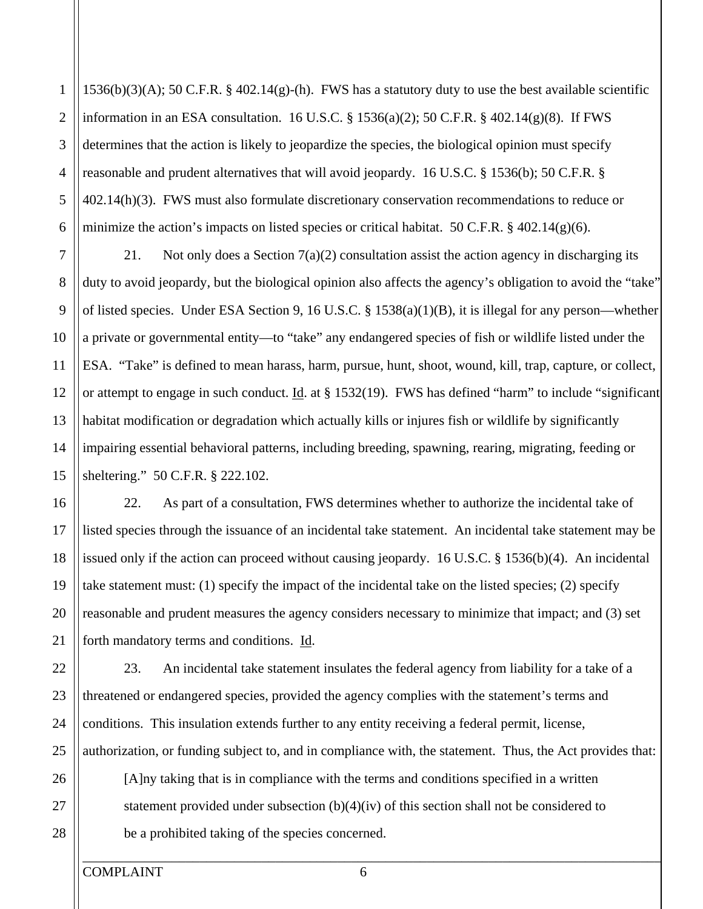1 2 3  $1536(b)(3)(A)$ ; 50 C.F.R. § 402.14(g)-(h). FWS has a statutory duty to use the best available scientific information in an ESA consultation. 16 U.S.C. § 1536(a)(2); 50 C.F.R. § 402.14(g)(8). If FWS determines that the action is likely to jeopardize the species, the biological opinion must specify reasonable and prudent alternatives that will avoid jeopardy. 16 U.S.C. § 1536(b); 50 C.F.R. § 402.14(h)(3). FWS must also formulate discretionary conservation recommendations to reduce or minimize the action's impacts on listed species or critical habitat. 50 C.F.R.  $\S$  402.14(g)(6).

21. Not only does a Section  $7(a)(2)$  consultation assist the action agency in discharging its duty to avoid jeopardy, but the biological opinion also affects the agency's obligation to avoid the "take" of listed species. Under ESA Section 9, 16 U.S.C. § 1538(a)(1)(B), it is illegal for any person—whether a private or governmental entity—to "take" any endangered species of fish or wildlife listed under the ESA. "Take" is defined to mean harass, harm, pursue, hunt, shoot, wound, kill, trap, capture, or collect, or attempt to engage in such conduct. Id. at  $\S$  1532(19). FWS has defined "harm" to include "significant habitat modification or degradation which actually kills or injures fish or wildlife by significantly impairing essential behavioral patterns, including breeding, spawning, rearing, migrating, feeding or sheltering." 50 C.F.R. § 222.102.

22. As part of a consultation, FWS determines whether to authorize the incidental take of listed species through the issuance of an incidental take statement. An incidental take statement may be issued only if the action can proceed without causing jeopardy. 16 U.S.C. § 1536(b)(4). An incidental take statement must: (1) specify the impact of the incidental take on the listed species; (2) specify reasonable and prudent measures the agency considers necessary to minimize that impact; and (3) set forth mandatory terms and conditions. Id.

23. An incidental take statement insulates the federal agency from liability for a take of a threatened or endangered species, provided the agency complies with the statement's terms and conditions. This insulation extends further to any entity receiving a federal permit, license, authorization, or funding subject to, and in compliance with, the statement. Thus, the Act provides that:

[A]ny taking that is in compliance with the terms and conditions specified in a written statement provided under subsection (b)(4)(iv) of this section shall not be considered to be a prohibited taking of the species concerned.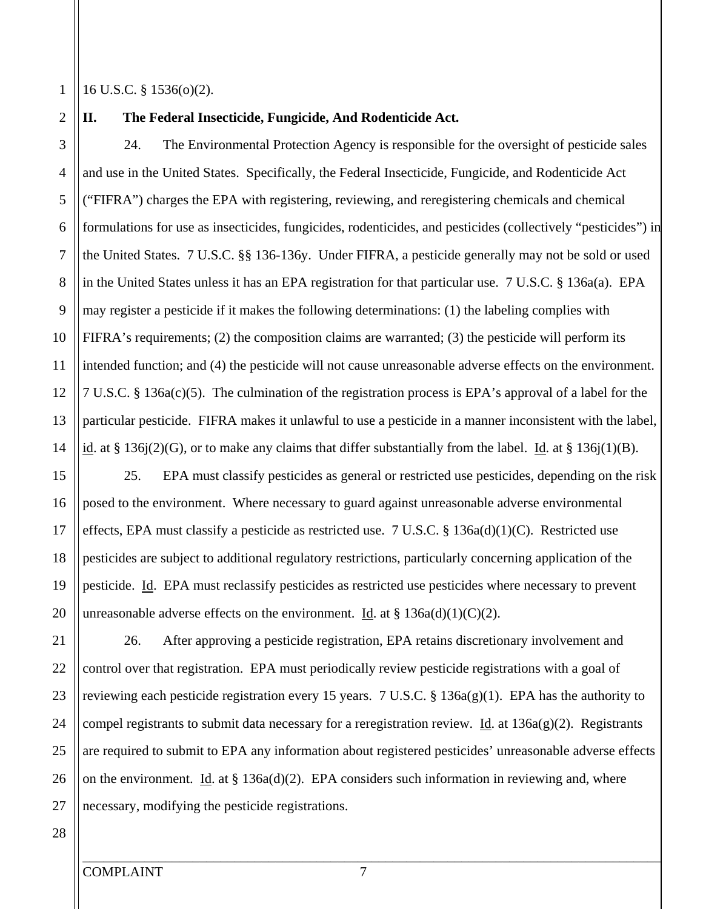1

2

3

5

6

7

8

9

4

10

11

12

13

14

#### 16 U.S.C. § 1536(o)(2).

**II. The Federal Insecticide, Fungicide, And Rodenticide Act.** 

24. The Environmental Protection Agency is responsible for the oversight of pesticide sales and use in the United States. Specifically, the Federal Insecticide, Fungicide, and Rodenticide Act ("FIFRA") charges the EPA with registering, reviewing, and reregistering chemicals and chemical formulations for use as insecticides, fungicides, rodenticides, and pesticides (collectively "pesticides") in the United States. 7 U.S.C. §§ 136-136y. Under FIFRA, a pesticide generally may not be sold or used in the United States unless it has an EPA registration for that particular use. 7 U.S.C. § 136a(a). EPA may register a pesticide if it makes the following determinations: (1) the labeling complies with FIFRA's requirements; (2) the composition claims are warranted; (3) the pesticide will perform its intended function; and (4) the pesticide will not cause unreasonable adverse effects on the environment. 7 U.S.C. § 136a(c)(5). The culmination of the registration process is EPA's approval of a label for the particular pesticide. FIFRA makes it unlawful to use a pesticide in a manner inconsistent with the label, id. at § 136j(2)(G), or to make any claims that differ substantially from the label. Id. at § 136j(1)(B).

15 20 16 17 18 19 25. EPA must classify pesticides as general or restricted use pesticides, depending on the risk posed to the environment. Where necessary to guard against unreasonable adverse environmental effects, EPA must classify a pesticide as restricted use. 7 U.S.C.  $\S$  136a(d)(1)(C). Restricted use pesticides are subject to additional regulatory restrictions, particularly concerning application of the pesticide. Id. EPA must reclassify pesticides as restricted use pesticides where necessary to prevent unreasonable adverse effects on the environment. Id. at  $\S 136a(d)(1)(C)(2)$ .

25 21 22 23 24 26. After approving a pesticide registration, EPA retains discretionary involvement and control over that registration. EPA must periodically review pesticide registrations with a goal of reviewing each pesticide registration every 15 years. 7 U.S.C. § 136a(g)(1). EPA has the authority to compel registrants to submit data necessary for a reregistration review. Id. at  $136a(g)(2)$ . Registrants are required to submit to EPA any information about registered pesticides' unreasonable adverse effects on the environment. Id. at  $\S 136a(d)(2)$ . EPA considers such information in reviewing and, where necessary, modifying the pesticide registrations.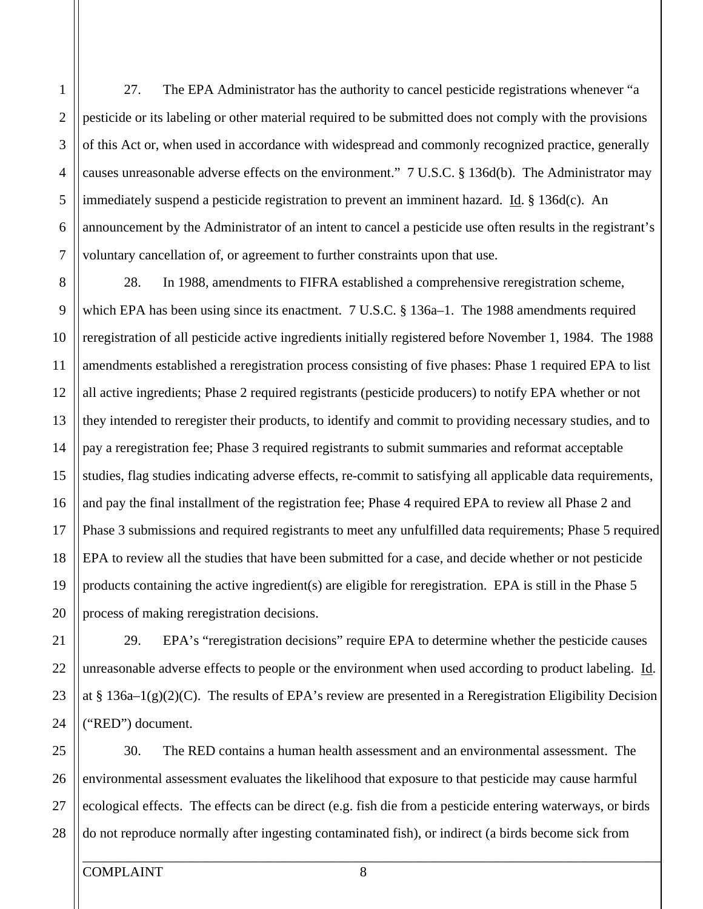5 1 2 3 4 6 7 8 9 27. The EPA Administrator has the authority to cancel pesticide registrations whenever "a pesticide or its labeling or other material required to be submitted does not comply with the provisions of this Act or, when used in accordance with widespread and commonly recognized practice, generally causes unreasonable adverse effects on the environment." 7 U.S.C. § 136d(b). The Administrator may immediately suspend a pesticide registration to prevent an imminent hazard. Id.  $\S 136d(c)$ . An announcement by the Administrator of an intent to cancel a pesticide use often results in the registrant's voluntary cancellation of, or agreement to further constraints upon that use. 28. In 1988, amendments to FIFRA established a comprehensive reregistration scheme,

10 15 20 12 13 14 16 17 18 19 which EPA has been using since its enactment. 7 U.S.C. § 136a–1. The 1988 amendments required reregistration of all pesticide active ingredients initially registered before November 1, 1984. The 1988 amendments established a reregistration process consisting of five phases: Phase 1 required EPA to list all active ingredients; Phase 2 required registrants (pesticide producers) to notify EPA whether or not they intended to reregister their products, to identify and commit to providing necessary studies, and to pay a reregistration fee; Phase 3 required registrants to submit summaries and reformat acceptable studies, flag studies indicating adverse effects, re-commit to satisfying all applicable data requirements, and pay the final installment of the registration fee; Phase 4 required EPA to review all Phase 2 and Phase 3 submissions and required registrants to meet any unfulfilled data requirements; Phase 5 required EPA to review all the studies that have been submitted for a case, and decide whether or not pesticide products containing the active ingredient(s) are eligible for reregistration. EPA is still in the Phase 5 process of making reregistration decisions.

29. EPA's "reregistration decisions" require EPA to determine whether the pesticide causes unreasonable adverse effects to people or the environment when used according to product labeling. Id. at § 136a–1(g)(2)(C). The results of EPA's review are presented in a Reregistration Eligibility Decision ("RED") document.

25 26 27 28 30. The RED contains a human health assessment and an environmental assessment. The environmental assessment evaluates the likelihood that exposure to that pesticide may cause harmful ecological effects. The effects can be direct (e.g. fish die from a pesticide entering waterways, or birds do not reproduce normally after ingesting contaminated fish), or indirect (a birds become sick from

11

21

22

23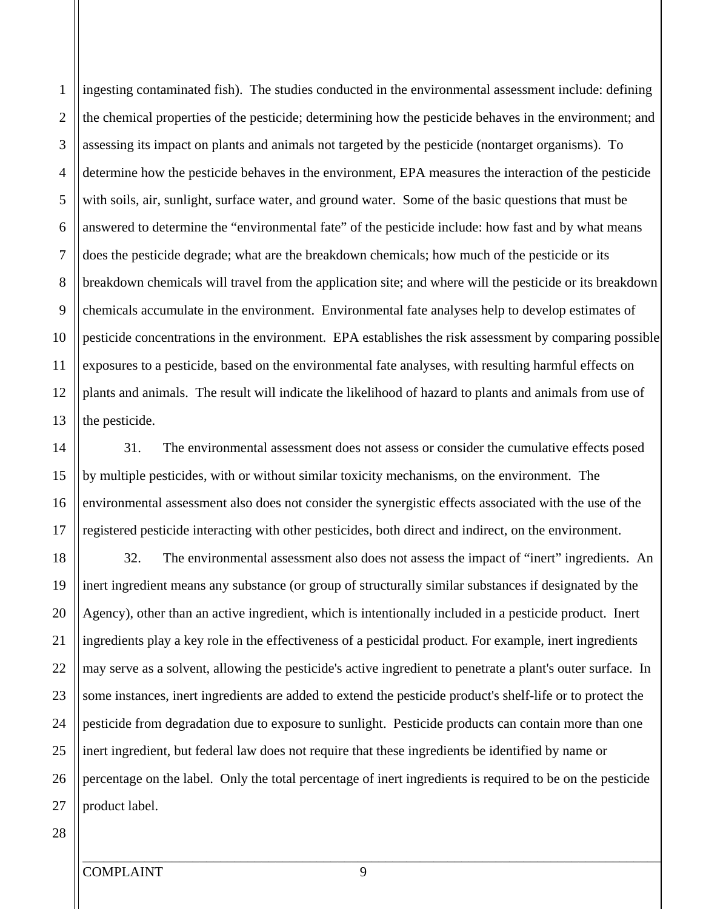10 4 6 8 12 13 ingesting contaminated fish). The studies conducted in the environmental assessment include: defining the chemical properties of the pesticide; determining how the pesticide behaves in the environment; and assessing its impact on plants and animals not targeted by the pesticide (nontarget organisms). To determine how the pesticide behaves in the environment, EPA measures the interaction of the pesticide with soils, air, sunlight, surface water, and ground water. Some of the basic questions that must be answered to determine the "environmental fate" of the pesticide include: how fast and by what means does the pesticide degrade; what are the breakdown chemicals; how much of the pesticide or its breakdown chemicals will travel from the application site; and where will the pesticide or its breakdown chemicals accumulate in the environment. Environmental fate analyses help to develop estimates of pesticide concentrations in the environment. EPA establishes the risk assessment by comparing possible exposures to a pesticide, based on the environmental fate analyses, with resulting harmful effects on plants and animals. The result will indicate the likelihood of hazard to plants and animals from use of the pesticide.

31. The environmental assessment does not assess or consider the cumulative effects posed by multiple pesticides, with or without similar toxicity mechanisms, on the environment. The environmental assessment also does not consider the synergistic effects associated with the use of the registered pesticide interacting with other pesticides, both direct and indirect, on the environment.

20 25 18 19 21 22 23 24 32. The environmental assessment also does not assess the impact of "inert" ingredients. An inert ingredient means any substance (or group of structurally similar substances if designated by the Agency), other than an active ingredient, which is intentionally included in a pesticide product. Inert ingredients play a key role in the effectiveness of a pesticidal product. For example, inert ingredients may serve as a solvent, allowing the pesticide's active ingredient to penetrate a plant's outer surface. In some instances, inert ingredients are added to extend the pesticide product's shelf-life or to protect the pesticide from degradation due to exposure to sunlight. Pesticide products can contain more than one inert ingredient, but federal law does not require that these ingredients be identified by name or percentage on the label. Only the total percentage of inert ingredients is required to be on the pesticide product label.

5

7

9

11

1

2

3

15

16

17

14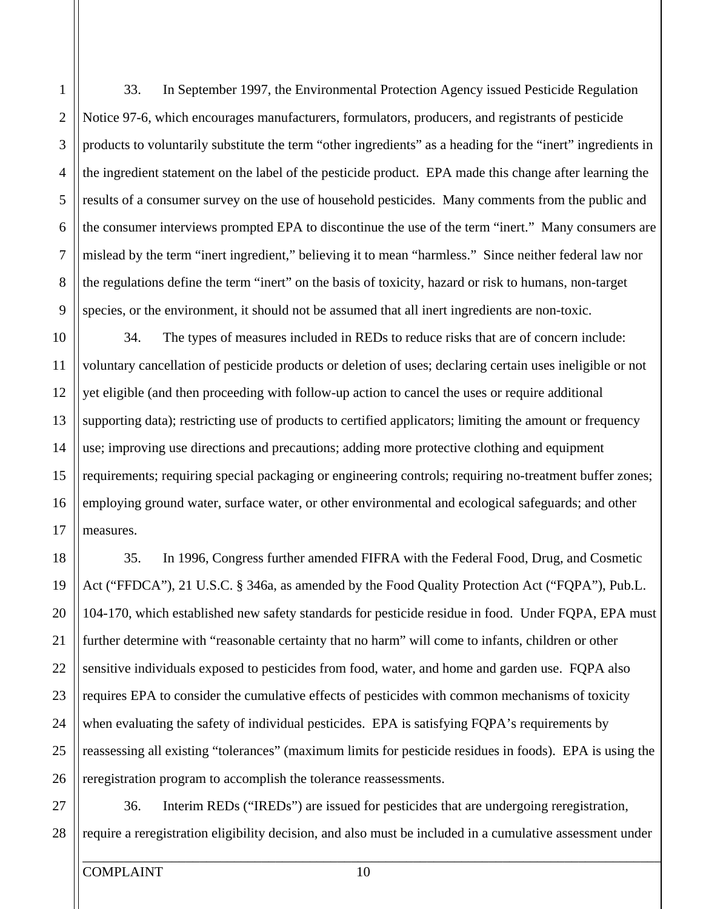1

33. In September 1997, the Environmental Protection Agency issued Pesticide Regulation Notice 97-6, which encourages manufacturers, formulators, producers, and registrants of pesticide products to voluntarily substitute the term "other ingredients" as a heading for the "inert" ingredients in the ingredient statement on the label of the pesticide product. EPA made this change after learning the results of a consumer survey on the use of household pesticides. Many comments from the public and the consumer interviews prompted EPA to discontinue the use of the term "inert." Many consumers are mislead by the term "inert ingredient," believing it to mean "harmless." Since neither federal law nor the regulations define the term "inert" on the basis of toxicity, hazard or risk to humans, non-target species, or the environment, it should not be assumed that all inert ingredients are non-toxic.

34. The types of measures included in REDs to reduce risks that are of concern include: voluntary cancellation of pesticide products or deletion of uses; declaring certain uses ineligible or not yet eligible (and then proceeding with follow-up action to cancel the uses or require additional supporting data); restricting use of products to certified applicators; limiting the amount or frequency use; improving use directions and precautions; adding more protective clothing and equipment requirements; requiring special packaging or engineering controls; requiring no-treatment buffer zones; employing ground water, surface water, or other environmental and ecological safeguards; and other measures.

35. In 1996, Congress further amended FIFRA with the Federal Food, Drug, and Cosmetic Act ("FFDCA"), 21 U.S.C. § 346a, as amended by the Food Quality Protection Act ("FQPA"), Pub.L. 104-170, which established new safety standards for pesticide residue in food. Under FQPA, EPA must further determine with "reasonable certainty that no harm" will come to infants, children or other sensitive individuals exposed to pesticides from food, water, and home and garden use. FQPA also requires EPA to consider the cumulative effects of pesticides with common mechanisms of toxicity when evaluating the safety of individual pesticides. EPA is satisfying FQPA's requirements by reassessing all existing "tolerances" (maximum limits for pesticide residues in foods). EPA is using the reregistration program to accomplish the tolerance reassessments.

36. Interim REDs ("IREDs") are issued for pesticides that are undergoing reregistration, require a reregistration eligibility decision, and also must be included in a cumulative assessment under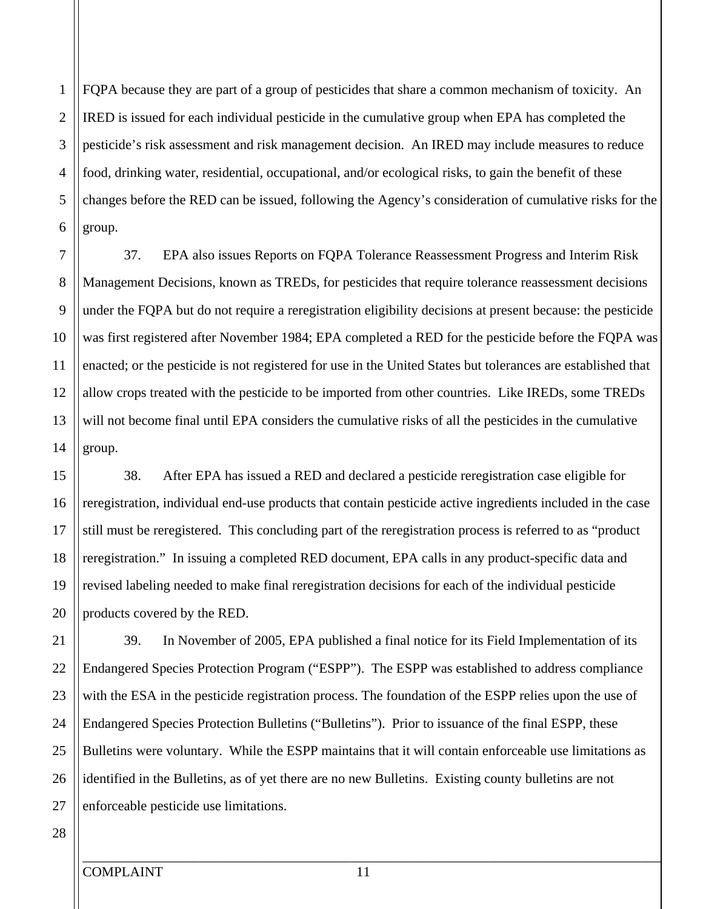5 2 3 4 6 FQPA because they are part of a group of pesticides that share a common mechanism of toxicity. An IRED is issued for each individual pesticide in the cumulative group when EPA has completed the pesticide's risk assessment and risk management decision. An IRED may include measures to reduce food, drinking water, residential, occupational, and/or ecological risks, to gain the benefit of these changes before the RED can be issued, following the Agency's consideration of cumulative risks for the group.

10 7 8 9 11 12 13 14 37. EPA also issues Reports on FQPA Tolerance Reassessment Progress and Interim Risk Management Decisions, known as TREDs, for pesticides that require tolerance reassessment decisions under the FQPA but do not require a reregistration eligibility decisions at present because: the pesticide was first registered after November 1984; EPA completed a RED for the pesticide before the FQPA was enacted; or the pesticide is not registered for use in the United States but tolerances are established that allow crops treated with the pesticide to be imported from other countries. Like IREDs, some TREDs will not become final until EPA considers the cumulative risks of all the pesticides in the cumulative group.

15 20 16 17 18 19 38. After EPA has issued a RED and declared a pesticide reregistration case eligible for reregistration, individual end-use products that contain pesticide active ingredients included in the case still must be reregistered. This concluding part of the reregistration process is referred to as "product reregistration." In issuing a completed RED document, EPA calls in any product-specific data and revised labeling needed to make final reregistration decisions for each of the individual pesticide products covered by the RED.

39. In November of 2005, EPA published a final notice for its Field Implementation of its Endangered Species Protection Program ("ESPP"). The ESPP was established to address compliance with the ESA in the pesticide registration process. The foundation of the ESPP relies upon the use of Endangered Species Protection Bulletins ("Bulletins"). Prior to issuance of the final ESPP, these Bulletins were voluntary. While the ESPP maintains that it will contain enforceable use limitations as identified in the Bulletins, as of yet there are no new Bulletins. Existing county bulletins are not enforceable pesticide use limitations.

# 27 28

25

26

24

21

22

23

1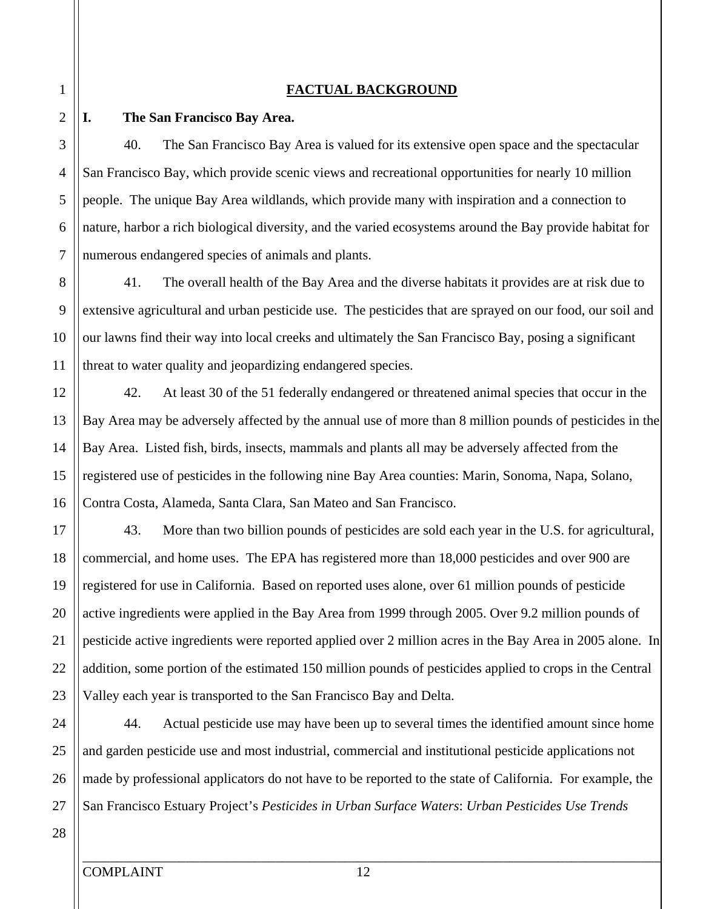#### **FACTUAL BACKGROUND**

#### **I. The San Francisco Bay Area.**

40. The San Francisco Bay Area is valued for its extensive open space and the spectacular San Francisco Bay, which provide scenic views and recreational opportunities for nearly 10 million people. The unique Bay Area wildlands, which provide many with inspiration and a connection to nature, harbor a rich biological diversity, and the varied ecosystems around the Bay provide habitat for numerous endangered species of animals and plants.

41. The overall health of the Bay Area and the diverse habitats it provides are at risk due to extensive agricultural and urban pesticide use. The pesticides that are sprayed on our food, our soil and our lawns find their way into local creeks and ultimately the San Francisco Bay, posing a significant threat to water quality and jeopardizing endangered species.

42. At least 30 of the 51 federally endangered or threatened animal species that occur in the Bay Area may be adversely affected by the annual use of more than 8 million pounds of pesticides in the Bay Area. Listed fish, birds, insects, mammals and plants all may be adversely affected from the registered use of pesticides in the following nine Bay Area counties: Marin, Sonoma, Napa, Solano, Contra Costa, Alameda, Santa Clara, San Mateo and San Francisco.

20 17 18 19 21 22 23 43. More than two billion pounds of pesticides are sold each year in the U.S. for agricultural, commercial, and home uses. The EPA has registered more than 18,000 pesticides and over 900 are registered for use in California. Based on reported uses alone, over 61 million pounds of pesticide active ingredients were applied in the Bay Area from 1999 through 2005. Over 9.2 million pounds of pesticide active ingredients were reported applied over 2 million acres in the Bay Area in 2005 alone. In addition, some portion of the estimated 150 million pounds of pesticides applied to crops in the Central Valley each year is transported to the San Francisco Bay and Delta.

25 24 26 27 44. Actual pesticide use may have been up to several times the identified amount since home and garden pesticide use and most industrial, commercial and institutional pesticide applications not made by professional applicators do not have to be reported to the state of California. For example, the San Francisco Estuary Project's *Pesticides in Urban Surface Waters*: *Urban Pesticides Use Trends* 

3

4

5

6

7

8

9

10

11

12

13

14

15

16

28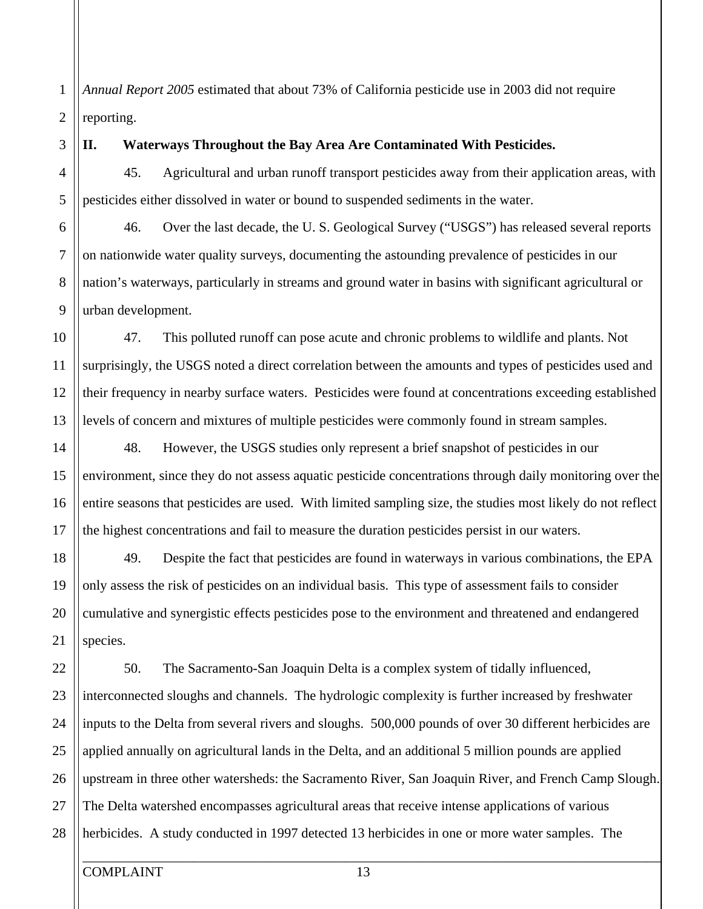1 2 *Annual Report 2005* estimated that about 73% of California pesticide use in 2003 did not require reporting.

3

#### **II. Waterways Throughout the Bay Area Are Contaminated With Pesticides.**

45. Agricultural and urban runoff transport pesticides away from their application areas, with pesticides either dissolved in water or bound to suspended sediments in the water.

46. Over the last decade, the U. S. Geological Survey ("USGS") has released several reports on nationwide water quality surveys, documenting the astounding prevalence of pesticides in our nation's waterways, particularly in streams and ground water in basins with significant agricultural or urban development.

47. This polluted runoff can pose acute and chronic problems to wildlife and plants. Not surprisingly, the USGS noted a direct correlation between the amounts and types of pesticides used and their frequency in nearby surface waters. Pesticides were found at concentrations exceeding established levels of concern and mixtures of multiple pesticides were commonly found in stream samples.

48. However, the USGS studies only represent a brief snapshot of pesticides in our environment, since they do not assess aquatic pesticide concentrations through daily monitoring over the entire seasons that pesticides are used. With limited sampling size, the studies most likely do not reflect the highest concentrations and fail to measure the duration pesticides persist in our waters.

49. Despite the fact that pesticides are found in waterways in various combinations, the EPA only assess the risk of pesticides on an individual basis. This type of assessment fails to consider cumulative and synergistic effects pesticides pose to the environment and threatened and endangered species.

50. The Sacramento-San Joaquin Delta is a complex system of tidally influenced, interconnected sloughs and channels. The hydrologic complexity is further increased by freshwater inputs to the Delta from several rivers and sloughs. 500,000 pounds of over 30 different herbicides are applied annually on agricultural lands in the Delta, and an additional 5 million pounds are applied upstream in three other watersheds: the Sacramento River, San Joaquin River, and French Camp Slough. The Delta watershed encompasses agricultural areas that receive intense applications of various herbicides. A study conducted in 1997 detected 13 herbicides in one or more water samples. The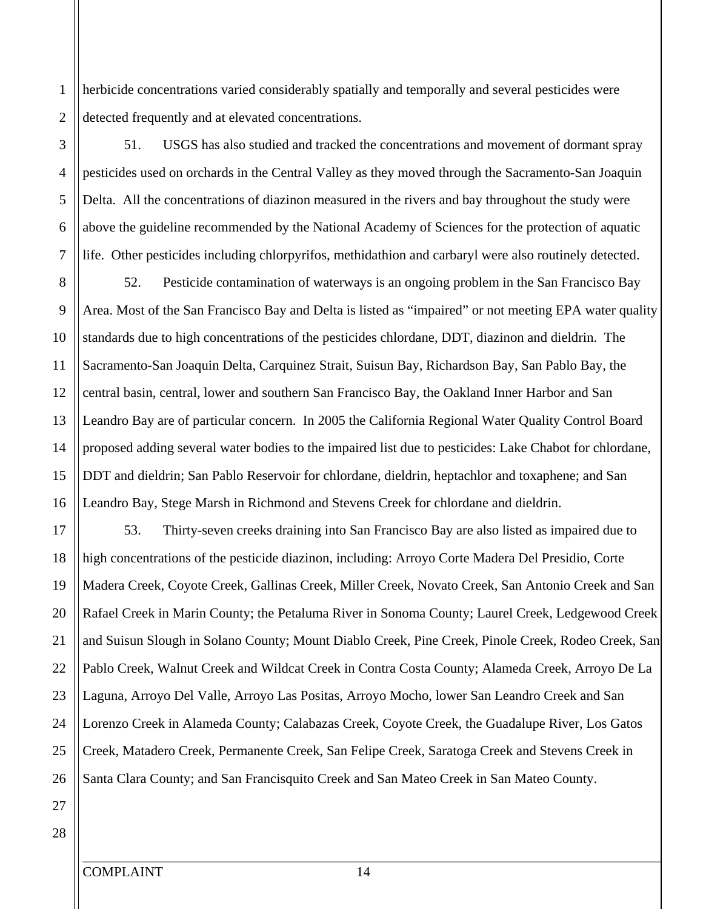2 herbicide concentrations varied considerably spatially and temporally and several pesticides were detected frequently and at elevated concentrations.

51. USGS has also studied and tracked the concentrations and movement of dormant spray pesticides used on orchards in the Central Valley as they moved through the Sacramento-San Joaquin Delta. All the concentrations of diazinon measured in the rivers and bay throughout the study were above the guideline recommended by the National Academy of Sciences for the protection of aquatic life. Other pesticides including chlorpyrifos, methidathion and carbaryl were also routinely detected.

10 15 8 9 12 13 14 16 52. Pesticide contamination of waterways is an ongoing problem in the San Francisco Bay Area. Most of the San Francisco Bay and Delta is listed as "impaired" or not meeting EPA water quality standards due to high concentrations of the pesticides chlordane, DDT, diazinon and dieldrin. The Sacramento-San Joaquin Delta, Carquinez Strait, Suisun Bay, Richardson Bay, San Pablo Bay, the central basin, central, lower and southern San Francisco Bay, the Oakland Inner Harbor and San Leandro Bay are of particular concern. In 2005 the California Regional Water Quality Control Board proposed adding several water bodies to the impaired list due to pesticides: Lake Chabot for chlordane, DDT and dieldrin; San Pablo Reservoir for chlordane, dieldrin, heptachlor and toxaphene; and San Leandro Bay, Stege Marsh in Richmond and Stevens Creek for chlordane and dieldrin.

20 25 17 18 19 21 22 23 24 26 53. Thirty-seven creeks draining into San Francisco Bay are also listed as impaired due to high concentrations of the pesticide diazinon, including: Arroyo Corte Madera Del Presidio, Corte Madera Creek, Coyote Creek, Gallinas Creek, Miller Creek, Novato Creek, San Antonio Creek and San Rafael Creek in Marin County; the Petaluma River in Sonoma County; Laurel Creek, Ledgewood Creek and Suisun Slough in Solano County; Mount Diablo Creek, Pine Creek, Pinole Creek, Rodeo Creek, San Pablo Creek, Walnut Creek and Wildcat Creek in Contra Costa County; Alameda Creek, Arroyo De La Laguna, Arroyo Del Valle, Arroyo Las Positas, Arroyo Mocho, lower San Leandro Creek and San Lorenzo Creek in Alameda County; Calabazas Creek, Coyote Creek, the Guadalupe River, Los Gatos Creek, Matadero Creek, Permanente Creek, San Felipe Creek, Saratoga Creek and Stevens Creek in Santa Clara County; and San Francisquito Creek and San Mateo Creek in San Mateo County.

27 28

5

6

7

11

1

3

4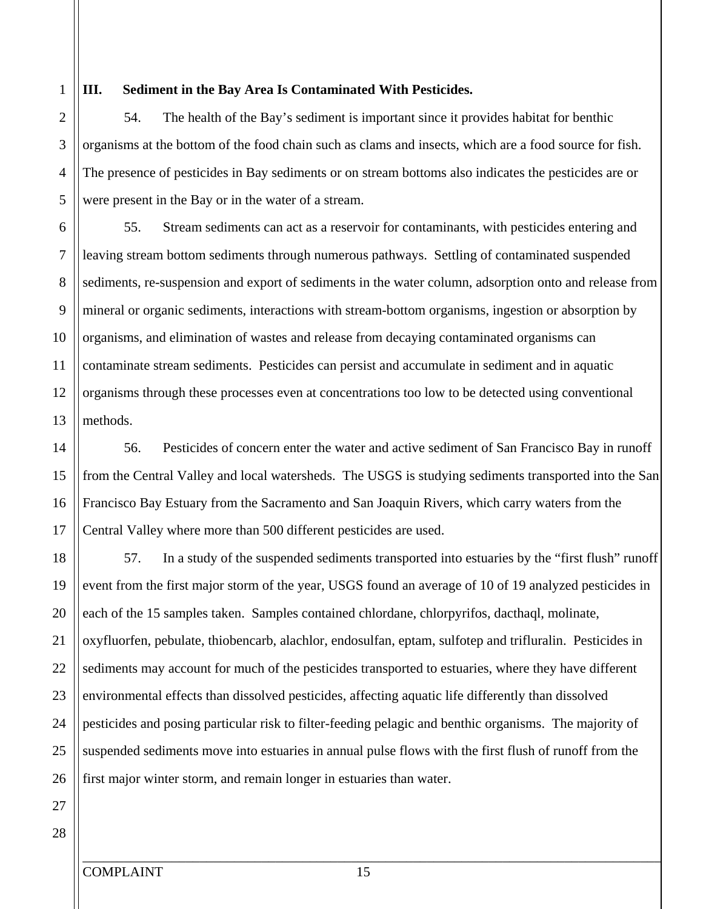1 2

5

3

4

#### **III. Sediment in the Bay Area Is Contaminated With Pesticides.**

54. The health of the Bay's sediment is important since it provides habitat for benthic organisms at the bottom of the food chain such as clams and insects, which are a food source for fish. The presence of pesticides in Bay sediments or on stream bottoms also indicates the pesticides are or were present in the Bay or in the water of a stream.

10 6 7 8 9 11 12 13 55. Stream sediments can act as a reservoir for contaminants, with pesticides entering and leaving stream bottom sediments through numerous pathways. Settling of contaminated suspended sediments, re-suspension and export of sediments in the water column, adsorption onto and release from mineral or organic sediments, interactions with stream-bottom organisms, ingestion or absorption by organisms, and elimination of wastes and release from decaying contaminated organisms can contaminate stream sediments. Pesticides can persist and accumulate in sediment and in aquatic organisms through these processes even at concentrations too low to be detected using conventional methods.

15 14 16 17 56. Pesticides of concern enter the water and active sediment of San Francisco Bay in runoff from the Central Valley and local watersheds. The USGS is studying sediments transported into the San Francisco Bay Estuary from the Sacramento and San Joaquin Rivers, which carry waters from the Central Valley where more than 500 different pesticides are used.

20 18 19 21 22 23 24 57. In a study of the suspended sediments transported into estuaries by the "first flush" runoff event from the first major storm of the year, USGS found an average of 10 of 19 analyzed pesticides in each of the 15 samples taken. Samples contained chlordane, chlorpyrifos, dacthaql, molinate, oxyfluorfen, pebulate, thiobencarb, alachlor, endosulfan, eptam, sulfotep and trifluralin. Pesticides in sediments may account for much of the pesticides transported to estuaries, where they have different environmental effects than dissolved pesticides, affecting aquatic life differently than dissolved pesticides and posing particular risk to filter-feeding pelagic and benthic organisms. The majority of suspended sediments move into estuaries in annual pulse flows with the first flush of runoff from the first major winter storm, and remain longer in estuaries than water.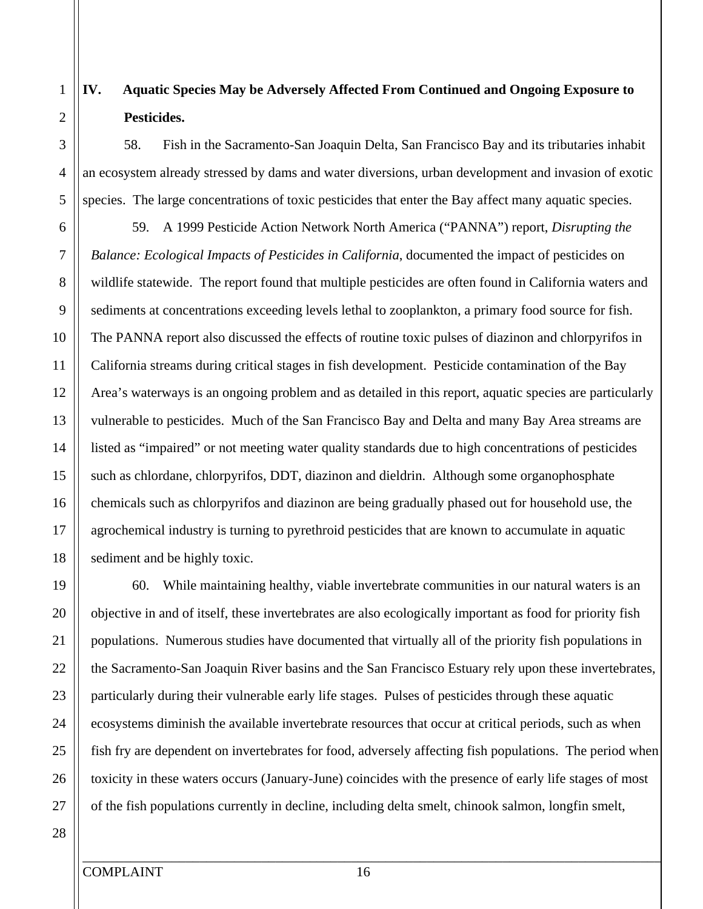### **IV. Aquatic Species May be Adversely Affected From Continued and Ongoing Exposure to Pesticides.**

58. Fish in the Sacramento-San Joaquin Delta, San Francisco Bay and its tributaries inhabit an ecosystem already stressed by dams and water diversions, urban development and invasion of exotic species. The large concentrations of toxic pesticides that enter the Bay affect many aquatic species.

59. A 1999 Pesticide Action Network North America ("PANNA") report, *Disrupting the Balance: Ecological Impacts of Pesticides in California*, documented the impact of pesticides on wildlife statewide. The report found that multiple pesticides are often found in California waters and sediments at concentrations exceeding levels lethal to zooplankton, a primary food source for fish. The PANNA report also discussed the effects of routine toxic pulses of diazinon and chlorpyrifos in California streams during critical stages in fish development. Pesticide contamination of the Bay Area's waterways is an ongoing problem and as detailed in this report, aquatic species are particularly vulnerable to pesticides. Much of the San Francisco Bay and Delta and many Bay Area streams are listed as "impaired" or not meeting water quality standards due to high concentrations of pesticides such as chlordane, chlorpyrifos, DDT, diazinon and dieldrin. Although some organophosphate chemicals such as chlorpyrifos and diazinon are being gradually phased out for household use, the agrochemical industry is turning to pyrethroid pesticides that are known to accumulate in aquatic sediment and be highly toxic.

60. While maintaining healthy, viable invertebrate communities in our natural waters is an objective in and of itself, these invertebrates are also ecologically important as food for priority fish populations. Numerous studies have documented that virtually all of the priority fish populations in the Sacramento-San Joaquin River basins and the San Francisco Estuary rely upon these invertebrates, particularly during their vulnerable early life stages. Pulses of pesticides through these aquatic ecosystems diminish the available invertebrate resources that occur at critical periods, such as when fish fry are dependent on invertebrates for food, adversely affecting fish populations. The period when toxicity in these waters occurs (January-June) coincides with the presence of early life stages of most of the fish populations currently in decline, including delta smelt, chinook salmon, longfin smelt,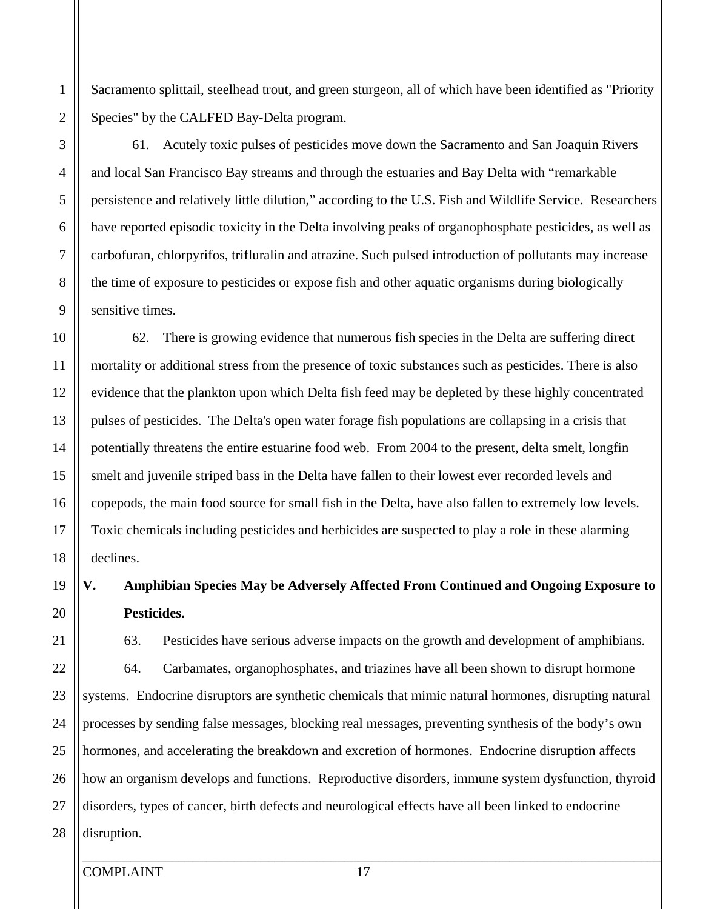5 10 15 20 25 3 4 6 7 8 9 11 12 13 14 16 17 18 19 21 22 23 24 26 and local San Francisco Bay streams and through the estuaries and Bay Delta with "remarkable persistence and relatively little dilution," according to the U.S. Fish and Wildlife Service. Researchers have reported episodic toxicity in the Delta involving peaks of organophosphate pesticides, as well as carbofuran, chlorpyrifos, trifluralin and atrazine. Such pulsed introduction of pollutants may increase the time of exposure to pesticides or expose fish and other aquatic organisms during biologically sensitive times. mortality or additional stress from the presence of toxic substances such as pesticides. There is also

1

2

Sacramento splittail, steelhead trout, and green sturgeon, all of which have been identified as "Priority Species" by the CALFED Bay-Delta program.

61. Acutely toxic pulses of pesticides move down the Sacramento and San Joaquin Rivers

62. There is growing evidence that numerous fish species in the Delta are suffering direct

27 28 disruption.

COMPLAINT 17

\_\_\_\_\_\_\_\_\_\_\_\_\_\_\_\_\_\_\_\_\_\_\_\_\_\_\_\_\_\_\_\_\_\_\_\_\_\_\_\_\_\_\_\_\_\_\_\_\_\_\_\_\_\_\_\_\_\_\_\_\_\_\_\_\_\_\_\_\_\_\_\_\_\_\_\_\_\_\_\_\_\_\_\_

evidence that the plankton upon which Delta fish feed may be depleted by these highly concentrated pulses of pesticides. The Delta's open water forage fish populations are collapsing in a crisis that potentially threatens the entire estuarine food web. From 2004 to the present, delta smelt, longfin smelt and juvenile striped bass in the Delta have fallen to their lowest ever recorded levels and copepods, the main food source for small fish in the Delta, have also fallen to extremely low levels. Toxic chemicals including pesticides and herbicides are suspected to play a role in these alarming declines. **V. Amphibian Species May be Adversely Affected From Continued and Ongoing Exposure to Pesticides.**  63. Pesticides have serious adverse impacts on the growth and development of amphibians. 64. Carbamates, organophosphates, and triazines have all been shown to disrupt hormone systems. Endocrine disruptors are synthetic chemicals that mimic natural hormones, disrupting natural

processes by sending false messages, blocking real messages, preventing synthesis of the body's own hormones, and accelerating the breakdown and excretion of hormones. Endocrine disruption affects how an organism develops and functions. Reproductive disorders, immune system dysfunction, thyroid disorders, types of cancer, birth defects and neurological effects have all been linked to endocrine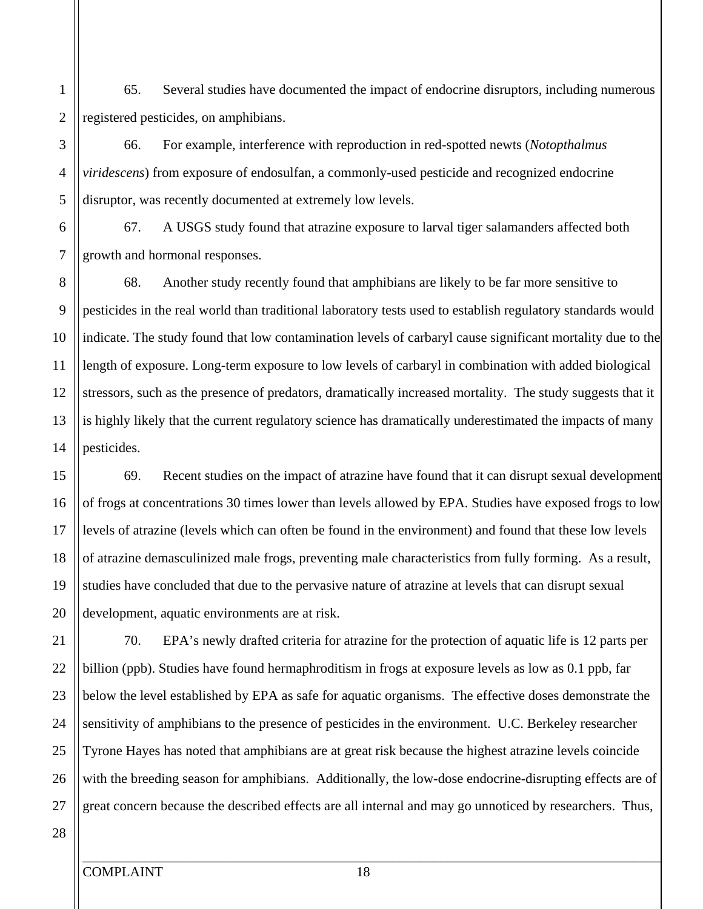1 2 65. Several studies have documented the impact of endocrine disruptors, including numerous registered pesticides, on amphibians.

66. For example, interference with reproduction in red-spotted newts (*Notopthalmus viridescens*) from exposure of endosulfan, a commonly-used pesticide and recognized endocrine disruptor, was recently documented at extremely low levels.

67. A USGS study found that atrazine exposure to larval tiger salamanders affected both growth and hormonal responses.

68. Another study recently found that amphibians are likely to be far more sensitive to pesticides in the real world than traditional laboratory tests used to establish regulatory standards would indicate. The study found that low contamination levels of carbaryl cause significant mortality due to the length of exposure. Long-term exposure to low levels of carbaryl in combination with added biological stressors, such as the presence of predators, dramatically increased mortality. The study suggests that it is highly likely that the current regulatory science has dramatically underestimated the impacts of many pesticides.

69. Recent studies on the impact of atrazine have found that it can disrupt sexual development of frogs at concentrations 30 times lower than levels allowed by EPA. Studies have exposed frogs to low levels of atrazine (levels which can often be found in the environment) and found that these low levels of atrazine demasculinized male frogs, preventing male characteristics from fully forming. As a result, studies have concluded that due to the pervasive nature of atrazine at levels that can disrupt sexual development, aquatic environments are at risk.

70. EPA's newly drafted criteria for atrazine for the protection of aquatic life is 12 parts per billion (ppb). Studies have found hermaphroditism in frogs at exposure levels as low as 0.1 ppb, far below the level established by EPA as safe for aquatic organisms. The effective doses demonstrate the sensitivity of amphibians to the presence of pesticides in the environment. U.C. Berkeley researcher Tyrone Hayes has noted that amphibians are at great risk because the highest atrazine levels coincide with the breeding season for amphibians. Additionally, the low-dose endocrine-disrupting effects are of great concern because the described effects are all internal and may go unnoticed by researchers. Thus,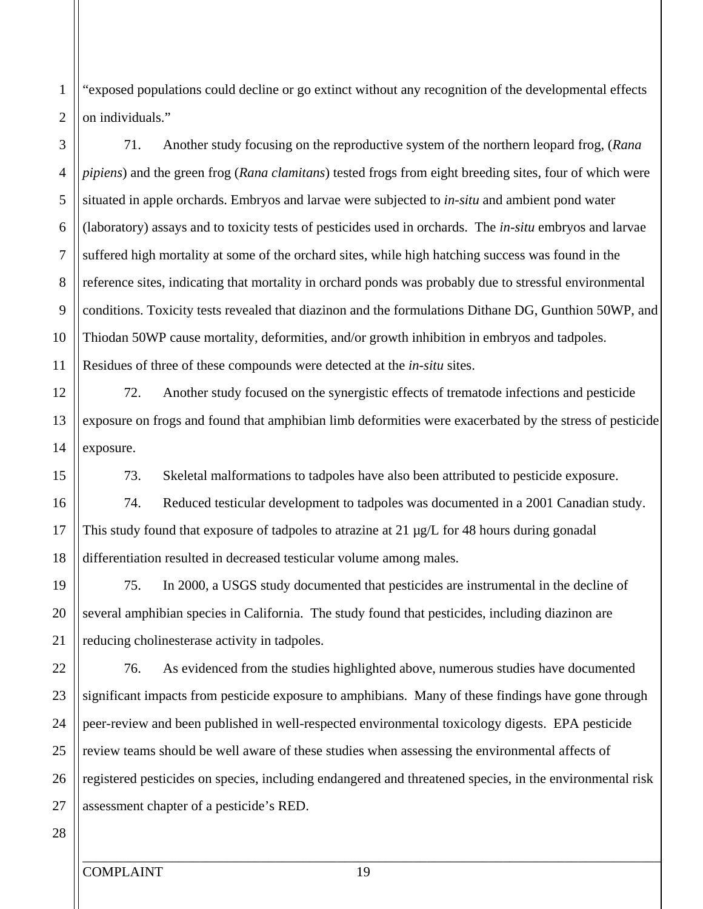"exposed populations could decline or go extinct without any recognition of the developmental effects on individuals."

71. Another study focusing on the reproductive system of the northern leopard frog, (*Rana pipiens*) and the green frog (*Rana clamitans*) tested frogs from eight breeding sites, four of which were situated in apple orchards. Embryos and larvae were subjected to *in-situ* and ambient pond water (laboratory) assays and to toxicity tests of pesticides used in orchards. The *in-situ* embryos and larvae suffered high mortality at some of the orchard sites, while high hatching success was found in the reference sites, indicating that mortality in orchard ponds was probably due to stressful environmental conditions. Toxicity tests revealed that diazinon and the formulations Dithane DG, Gunthion 50WP, and Thiodan 50WP cause mortality, deformities, and/or growth inhibition in embryos and tadpoles. Residues of three of these compounds were detected at the *in-situ* sites.

12 13 14 72. Another study focused on the synergistic effects of trematode infections and pesticide exposure on frogs and found that amphibian limb deformities were exacerbated by the stress of pesticide exposure.

73. Skeletal malformations to tadpoles have also been attributed to pesticide exposure.

74. Reduced testicular development to tadpoles was documented in a 2001 Canadian study. This study found that exposure of tadpoles to atrazine at 21 µg/L for 48 hours during gonadal differentiation resulted in decreased testicular volume among males.

75. In 2000, a USGS study documented that pesticides are instrumental in the decline of several amphibian species in California. The study found that pesticides, including diazinon are reducing cholinesterase activity in tadpoles.

76. As evidenced from the studies highlighted above, numerous studies have documented significant impacts from pesticide exposure to amphibians. Many of these findings have gone through peer-review and been published in well-respected environmental toxicology digests. EPA pesticide review teams should be well aware of these studies when assessing the environmental affects of registered pesticides on species, including endangered and threatened species, in the environmental risk assessment chapter of a pesticide's RED.

27 28

25

26

5

6

7

8

9

4

1

2

3

10

11

15

16

17

18

19

20

21

22

23

24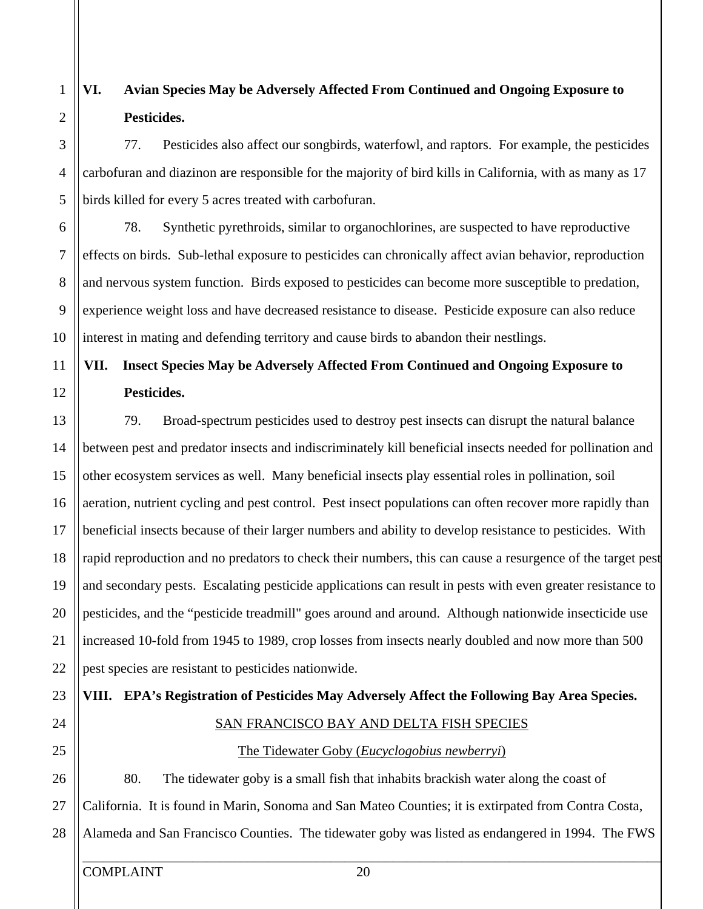#### 1 2 **VI. Avian Species May be Adversely Affected From Continued and Ongoing Exposure to Pesticides.**

77. Pesticides also affect our songbirds, waterfowl, and raptors. For example, the pesticides carbofuran and diazinon are responsible for the majority of bird kills in California, with as many as 17 birds killed for every 5 acres treated with carbofuran.

78. Synthetic pyrethroids, similar to organochlorines, are suspected to have reproductive effects on birds. Sub-lethal exposure to pesticides can chronically affect avian behavior, reproduction and nervous system function. Birds exposed to pesticides can become more susceptible to predation, experience weight loss and have decreased resistance to disease. Pesticide exposure can also reduce interest in mating and defending territory and cause birds to abandon their nestlings.

### **VII. Insect Species May be Adversely Affected From Continued and Ongoing Exposure to Pesticides.**

79. Broad-spectrum pesticides used to destroy pest insects can disrupt the natural balance between pest and predator insects and indiscriminately kill beneficial insects needed for pollination and other ecosystem services as well. Many beneficial insects play essential roles in pollination, soil aeration, nutrient cycling and pest control. Pest insect populations can often recover more rapidly than beneficial insects because of their larger numbers and ability to develop resistance to pesticides. With rapid reproduction and no predators to check their numbers, this can cause a resurgence of the target pest and secondary pests. Escalating pesticide applications can result in pests with even greater resistance to pesticides, and the "pesticide treadmill" goes around and around. Although nationwide insecticide use increased 10-fold from 1945 to 1989, crop losses from insects nearly doubled and now more than 500 pest species are resistant to pesticides nationwide.

### **VIII. EPA's Registration of Pesticides May Adversely Affect the Following Bay Area Species.**  SAN FRANCISCO BAY AND DELTA FISH SPECIES

### The Tidewater Goby (*Eucyclogobius newberryi*)

80. The tidewater goby is a small fish that inhabits brackish water along the coast of California. It is found in Marin, Sonoma and San Mateo Counties; it is extirpated from Contra Costa, Alameda and San Francisco Counties. The tidewater goby was listed as endangered in 1994. The FWS

5

4

3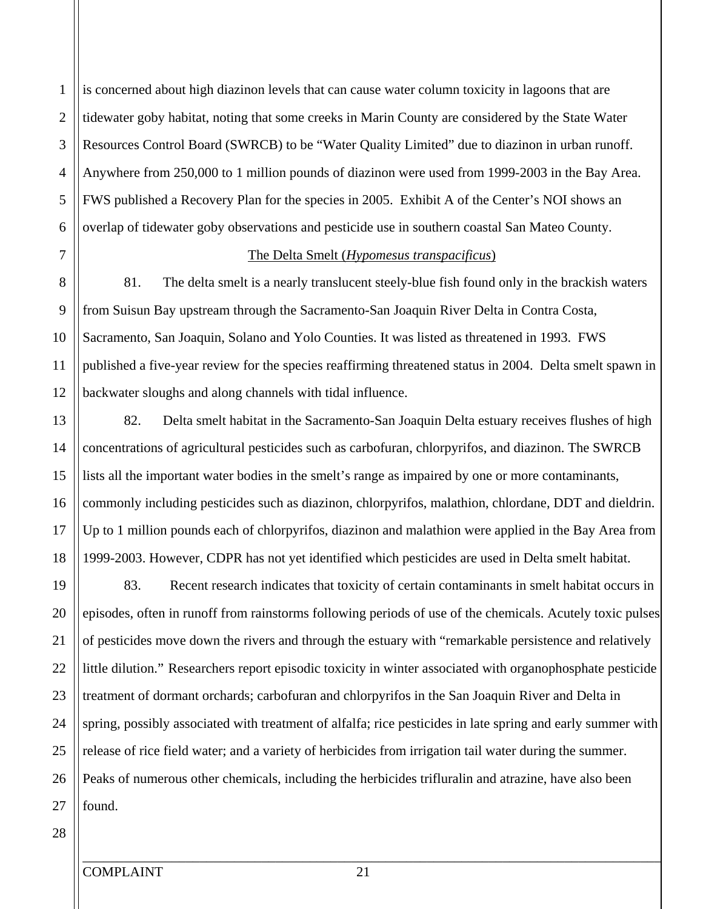is concerned about high diazinon levels that can cause water column toxicity in lagoons that are tidewater goby habitat, noting that some creeks in Marin County are considered by the State Water Resources Control Board (SWRCB) to be "Water Quality Limited" due to diazinon in urban runoff. Anywhere from 250,000 to 1 million pounds of diazinon were used from 1999-2003 in the Bay Area. FWS published a Recovery Plan for the species in 2005. Exhibit A of the Center's NOI shows an overlap of tidewater goby observations and pesticide use in southern coastal San Mateo County.

7

8

9

10

11

12

13

15

16

17

18

14

5

6

4

1

2

3

#### The Delta Smelt (*Hypomesus transpacificus*)

81. The delta smelt is a nearly translucent steely-blue fish found only in the brackish waters from Suisun Bay upstream through the Sacramento-San Joaquin River Delta in Contra Costa, Sacramento, San Joaquin, Solano and Yolo Counties. It was listed as threatened in 1993. FWS published a five-year review for the species reaffirming threatened status in 2004. Delta smelt spawn in backwater sloughs and along channels with tidal influence.

82. Delta smelt habitat in the Sacramento-San Joaquin Delta estuary receives flushes of high concentrations of agricultural pesticides such as carbofuran, chlorpyrifos, and diazinon. The SWRCB lists all the important water bodies in the smelt's range as impaired by one or more contaminants, commonly including pesticides such as diazinon, chlorpyrifos, malathion, chlordane, DDT and dieldrin. Up to 1 million pounds each of chlorpyrifos, diazinon and malathion were applied in the Bay Area from 1999-2003. However, CDPR has not yet identified which pesticides are used in Delta smelt habitat.

20 25 19 21 22 23 24 26 27 83. Recent research indicates that toxicity of certain contaminants in smelt habitat occurs in episodes, often in runoff from rainstorms following periods of use of the chemicals. Acutely toxic pulses of pesticides move down the rivers and through the estuary with "remarkable persistence and relatively little dilution." Researchers report episodic toxicity in winter associated with organophosphate pesticide treatment of dormant orchards; carbofuran and chlorpyrifos in the San Joaquin River and Delta in spring, possibly associated with treatment of alfalfa; rice pesticides in late spring and early summer with release of rice field water; and a variety of herbicides from irrigation tail water during the summer. Peaks of numerous other chemicals, including the herbicides trifluralin and atrazine, have also been found.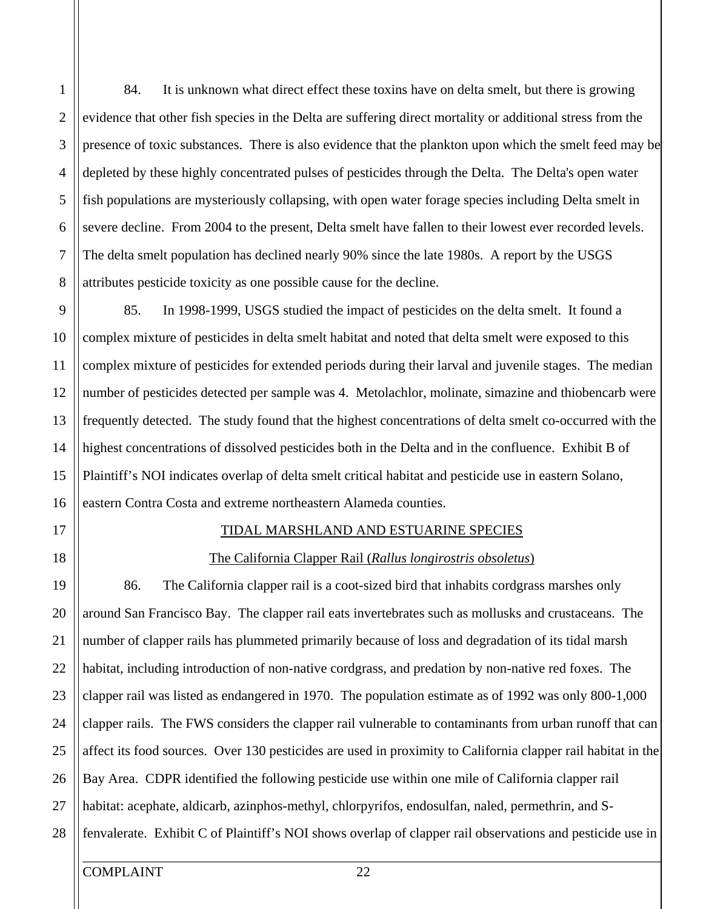5 2 3 4 6 7 8 84. It is unknown what direct effect these toxins have on delta smelt, but there is growing evidence that other fish species in the Delta are suffering direct mortality or additional stress from the presence of toxic substances. There is also evidence that the plankton upon which the smelt feed may be depleted by these highly concentrated pulses of pesticides through the Delta. The Delta's open water fish populations are mysteriously collapsing, with open water forage species including Delta smelt in severe decline. From 2004 to the present, Delta smelt have fallen to their lowest ever recorded levels. The delta smelt population has declined nearly 90% since the late 1980s. A report by the USGS attributes pesticide toxicity as one possible cause for the decline.

10 15 9 11 12 13 14 16 85. In 1998-1999, USGS studied the impact of pesticides on the delta smelt. It found a complex mixture of pesticides in delta smelt habitat and noted that delta smelt were exposed to this complex mixture of pesticides for extended periods during their larval and juvenile stages. The median number of pesticides detected per sample was 4. Metolachlor, molinate, simazine and thiobencarb were frequently detected. The study found that the highest concentrations of delta smelt co-occurred with the highest concentrations of dissolved pesticides both in the Delta and in the confluence. Exhibit B of Plaintiff's NOI indicates overlap of delta smelt critical habitat and pesticide use in eastern Solano, eastern Contra Costa and extreme northeastern Alameda counties.

#### TIDAL MARSHLAND AND ESTUARINE SPECIES

#### The California Clapper Rail (*Rallus longirostris obsoletus*)

86. The California clapper rail is a coot-sized bird that inhabits cordgrass marshes only around San Francisco Bay. The clapper rail eats invertebrates such as mollusks and crustaceans. The number of clapper rails has plummeted primarily because of loss and degradation of its tidal marsh habitat, including introduction of non-native cordgrass, and predation by non-native red foxes. The clapper rail was listed as endangered in 1970. The population estimate as of 1992 was only 800-1,000 clapper rails. The FWS considers the clapper rail vulnerable to contaminants from urban runoff that can affect its food sources. Over 130 pesticides are used in proximity to California clapper rail habitat in the Bay Area. CDPR identified the following pesticide use within one mile of California clapper rail habitat: acephate, aldicarb, azinphos-methyl, chlorpyrifos, endosulfan, naled, permethrin, and Sfenvalerate. Exhibit C of Plaintiff's NOI shows overlap of clapper rail observations and pesticide use in

20

21

22

23

19

17

18

1

25

26

27

28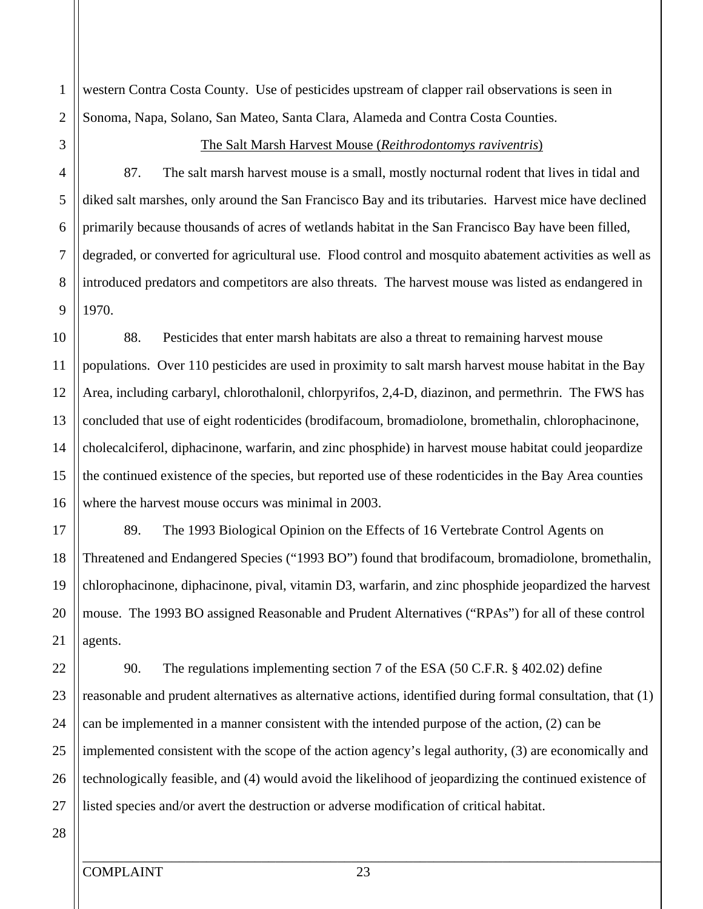western Contra Costa County. Use of pesticides upstream of clapper rail observations is seen in Sonoma, Napa, Solano, San Mateo, Santa Clara, Alameda and Contra Costa Counties.

5

6

7

8

9

1

2

3

4

#### The Salt Marsh Harvest Mouse (*Reithrodontomys raviventris*)

87. The salt marsh harvest mouse is a small, mostly nocturnal rodent that lives in tidal and diked salt marshes, only around the San Francisco Bay and its tributaries. Harvest mice have declined primarily because thousands of acres of wetlands habitat in the San Francisco Bay have been filled, degraded, or converted for agricultural use. Flood control and mosquito abatement activities as well as introduced predators and competitors are also threats. The harvest mouse was listed as endangered in 1970.

10 15 11 12 13 14 16 88. Pesticides that enter marsh habitats are also a threat to remaining harvest mouse populations. Over 110 pesticides are used in proximity to salt marsh harvest mouse habitat in the Bay Area, including carbaryl, chlorothalonil, chlorpyrifos, 2,4-D, diazinon, and permethrin. The FWS has concluded that use of eight rodenticides (brodifacoum, bromadiolone, bromethalin, chlorophacinone, cholecalciferol, diphacinone, warfarin, and zinc phosphide) in harvest mouse habitat could jeopardize the continued existence of the species, but reported use of these rodenticides in the Bay Area counties where the harvest mouse occurs was minimal in 2003.

20 18 19 21 89. The 1993 Biological Opinion on the Effects of 16 Vertebrate Control Agents on Threatened and Endangered Species ("1993 BO") found that brodifacoum, bromadiolone, bromethalin, chlorophacinone, diphacinone, pival, vitamin D3, warfarin, and zinc phosphide jeopardized the harvest mouse. The 1993 BO assigned Reasonable and Prudent Alternatives ("RPAs") for all of these control agents.

90. The regulations implementing section 7 of the ESA (50 C.F.R. § 402.02) define reasonable and prudent alternatives as alternative actions, identified during formal consultation, that (1) can be implemented in a manner consistent with the intended purpose of the action, (2) can be implemented consistent with the scope of the action agency's legal authority, (3) are economically and technologically feasible, and (4) would avoid the likelihood of jeopardizing the continued existence of listed species and/or avert the destruction or adverse modification of critical habitat.

27 28

25

26

24

22

23

17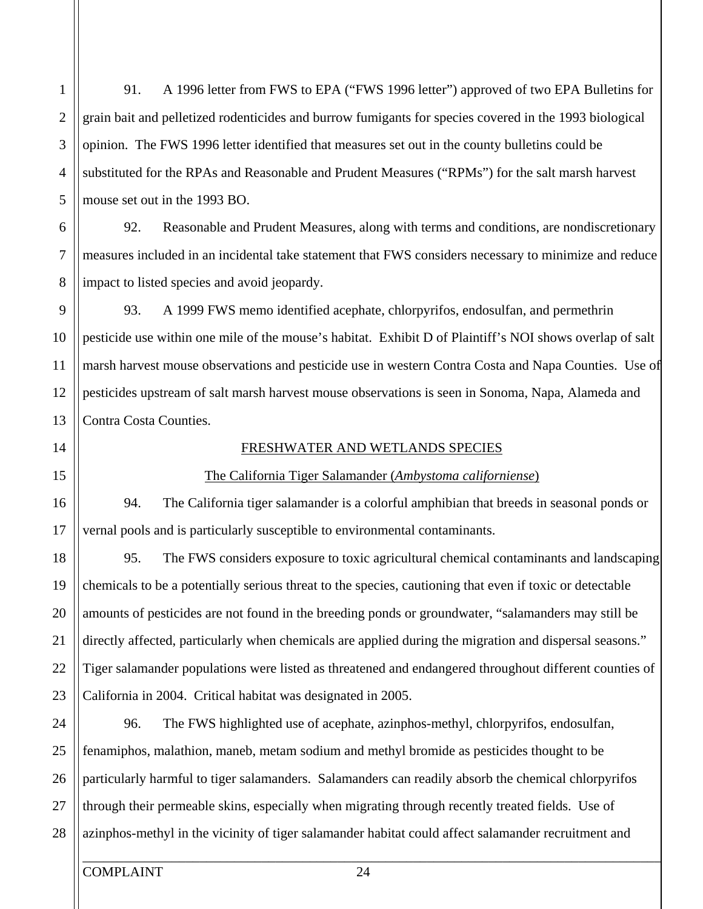5 10 2 3 4 6 7 8 9 grain bait and pelletized rodenticides and burrow fumigants for species covered in the 1993 biological opinion. The FWS 1996 letter identified that measures set out in the county bulletins could be substituted for the RPAs and Reasonable and Prudent Measures ("RPMs") for the salt marsh harvest mouse set out in the 1993 BO. 92. Reasonable and Prudent Measures, along with terms and conditions, are nondiscretionary measures included in an incidental take statement that FWS considers necessary to minimize and reduce impact to listed species and avoid jeopardy. 93. A 1999 FWS memo identified acephate, chlorpyrifos, endosulfan, and permethrin

pesticide use within one mile of the mouse's habitat. Exhibit D of Plaintiff's NOI shows overlap of salt marsh harvest mouse observations and pesticide use in western Contra Costa and Napa Counties. Use of pesticides upstream of salt marsh harvest mouse observations is seen in Sonoma, Napa, Alameda and Contra Costa Counties.

91. A 1996 letter from FWS to EPA ("FWS 1996 letter") approved of two EPA Bulletins for

### 15 14

16

17

18

11

12

13

1

20

21

22

23

19

#### FRESHWATER AND WETLANDS SPECIES

#### The California Tiger Salamander (*Ambystoma californiense*)

94. The California tiger salamander is a colorful amphibian that breeds in seasonal ponds or vernal pools and is particularly susceptible to environmental contaminants.

95. The FWS considers exposure to toxic agricultural chemical contaminants and landscaping chemicals to be a potentially serious threat to the species, cautioning that even if toxic or detectable amounts of pesticides are not found in the breeding ponds or groundwater, "salamanders may still be directly affected, particularly when chemicals are applied during the migration and dispersal seasons." Tiger salamander populations were listed as threatened and endangered throughout different counties of California in 2004. Critical habitat was designated in 2005.

25 24 26 27 28 96. The FWS highlighted use of acephate, azinphos-methyl, chlorpyrifos, endosulfan, fenamiphos, malathion, maneb, metam sodium and methyl bromide as pesticides thought to be particularly harmful to tiger salamanders. Salamanders can readily absorb the chemical chlorpyrifos through their permeable skins, especially when migrating through recently treated fields. Use of azinphos-methyl in the vicinity of tiger salamander habitat could affect salamander recruitment and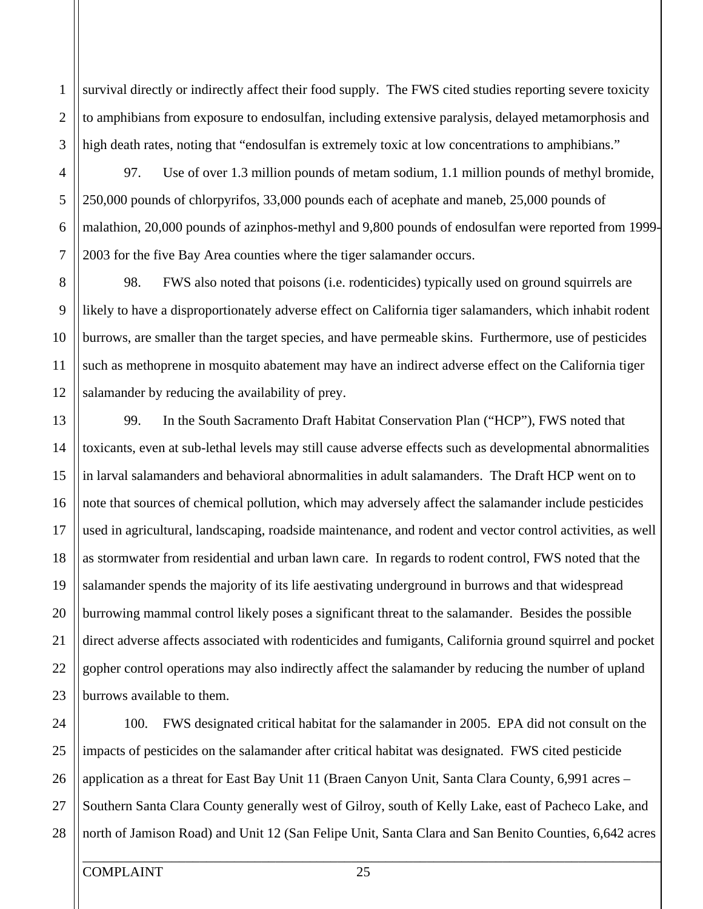survival directly or indirectly affect their food supply. The FWS cited studies reporting severe toxicity to amphibians from exposure to endosulfan, including extensive paralysis, delayed metamorphosis and high death rates, noting that "endosulfan is extremely toxic at low concentrations to amphibians."

97. Use of over 1.3 million pounds of metam sodium, 1.1 million pounds of methyl bromide, 250,000 pounds of chlorpyrifos, 33,000 pounds each of acephate and maneb, 25,000 pounds of malathion, 20,000 pounds of azinphos-methyl and 9,800 pounds of endosulfan were reported from 1999 2003 for the five Bay Area counties where the tiger salamander occurs.

98. FWS also noted that poisons (i.e. rodenticides) typically used on ground squirrels are likely to have a disproportionately adverse effect on California tiger salamanders, which inhabit rodent burrows, are smaller than the target species, and have permeable skins. Furthermore, use of pesticides such as methoprene in mosquito abatement may have an indirect adverse effect on the California tiger salamander by reducing the availability of prey.

99. In the South Sacramento Draft Habitat Conservation Plan ("HCP"), FWS noted that toxicants, even at sub-lethal levels may still cause adverse effects such as developmental abnormalities in larval salamanders and behavioral abnormalities in adult salamanders. The Draft HCP went on to note that sources of chemical pollution, which may adversely affect the salamander include pesticides used in agricultural, landscaping, roadside maintenance, and rodent and vector control activities, as well as stormwater from residential and urban lawn care. In regards to rodent control, FWS noted that the salamander spends the majority of its life aestivating underground in burrows and that widespread burrowing mammal control likely poses a significant threat to the salamander. Besides the possible direct adverse affects associated with rodenticides and fumigants, California ground squirrel and pocket gopher control operations may also indirectly affect the salamander by reducing the number of upland burrows available to them.

100. FWS designated critical habitat for the salamander in 2005. EPA did not consult on the impacts of pesticides on the salamander after critical habitat was designated. FWS cited pesticide application as a threat for East Bay Unit 11 (Braen Canyon Unit, Santa Clara County, 6,991 acres – Southern Santa Clara County generally west of Gilroy, south of Kelly Lake, east of Pacheco Lake, and north of Jamison Road) and Unit 12 (San Felipe Unit, Santa Clara and San Benito Counties, 6,642 acres

1

2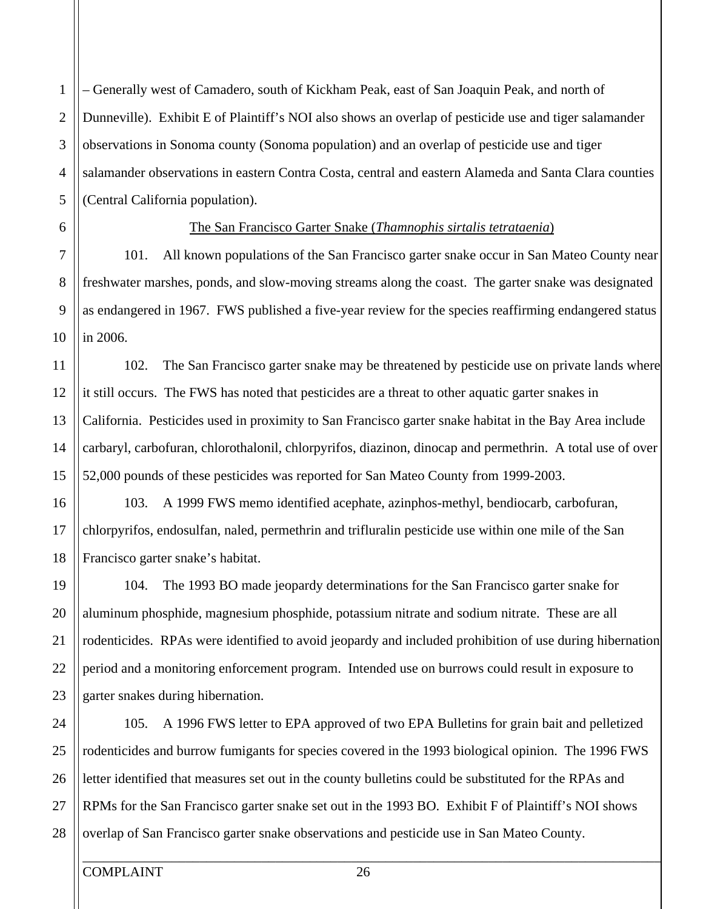– Generally west of Camadero, south of Kickham Peak, east of San Joaquin Peak, and north of Dunneville). Exhibit E of Plaintiff's NOI also shows an overlap of pesticide use and tiger salamander observations in Sonoma county (Sonoma population) and an overlap of pesticide use and tiger salamander observations in eastern Contra Costa, central and eastern Alameda and Santa Clara counties (Central California population).

5

6

7

8

9

4

1

2

3

10

11

12

13

14

15

17

20

21

22

23

19

#### The San Francisco Garter Snake (*Thamnophis sirtalis tetrataenia*)

101. All known populations of the San Francisco garter snake occur in San Mateo County near freshwater marshes, ponds, and slow-moving streams along the coast. The garter snake was designated as endangered in 1967. FWS published a five-year review for the species reaffirming endangered status in 2006.

102. The San Francisco garter snake may be threatened by pesticide use on private lands where it still occurs. The FWS has noted that pesticides are a threat to other aquatic garter snakes in California. Pesticides used in proximity to San Francisco garter snake habitat in the Bay Area include carbaryl, carbofuran, chlorothalonil, chlorpyrifos, diazinon, dinocap and permethrin. A total use of over 52,000 pounds of these pesticides was reported for San Mateo County from 1999-2003.

16 18 103. A 1999 FWS memo identified acephate, azinphos-methyl, bendiocarb, carbofuran, chlorpyrifos, endosulfan, naled, permethrin and trifluralin pesticide use within one mile of the San Francisco garter snake's habitat.

104. The 1993 BO made jeopardy determinations for the San Francisco garter snake for aluminum phosphide, magnesium phosphide, potassium nitrate and sodium nitrate. These are all rodenticides. RPAs were identified to avoid jeopardy and included prohibition of use during hibernation period and a monitoring enforcement program. Intended use on burrows could result in exposure to garter snakes during hibernation.

25 24 26 27 28 105. A 1996 FWS letter to EPA approved of two EPA Bulletins for grain bait and pelletized rodenticides and burrow fumigants for species covered in the 1993 biological opinion. The 1996 FWS letter identified that measures set out in the county bulletins could be substituted for the RPAs and RPMs for the San Francisco garter snake set out in the 1993 BO. Exhibit F of Plaintiff's NOI shows overlap of San Francisco garter snake observations and pesticide use in San Mateo County.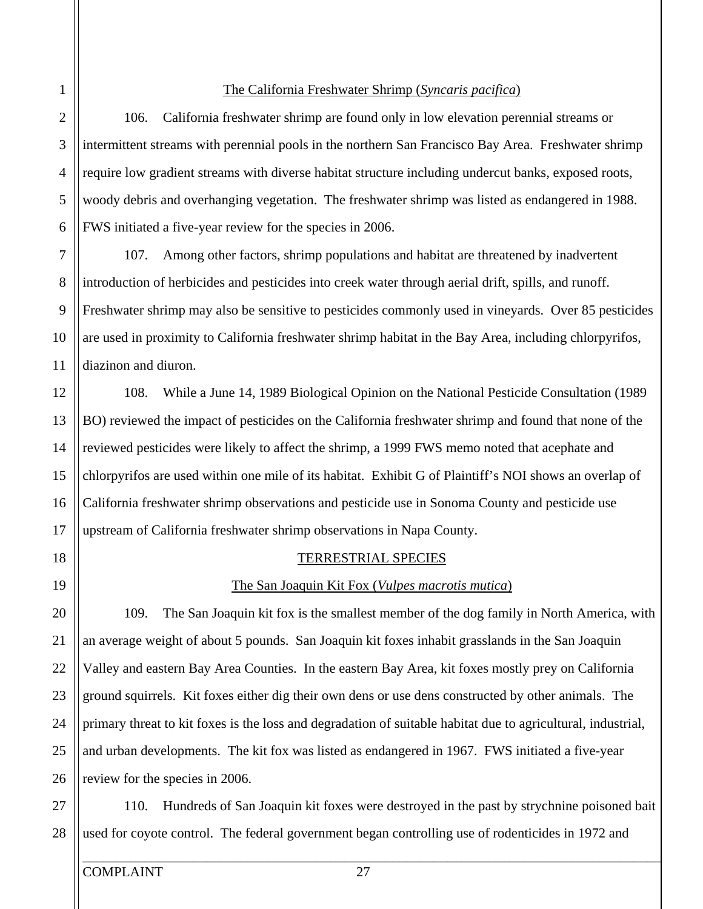#### The California Freshwater Shrimp (*Syncaris pacifica*)

106. California freshwater shrimp are found only in low elevation perennial streams or intermittent streams with perennial pools in the northern San Francisco Bay Area. Freshwater shrimp require low gradient streams with diverse habitat structure including undercut banks, exposed roots, woody debris and overhanging vegetation. The freshwater shrimp was listed as endangered in 1988. FWS initiated a five-year review for the species in 2006.

107. Among other factors, shrimp populations and habitat are threatened by inadvertent introduction of herbicides and pesticides into creek water through aerial drift, spills, and runoff. Freshwater shrimp may also be sensitive to pesticides commonly used in vineyards. Over 85 pesticides are used in proximity to California freshwater shrimp habitat in the Bay Area, including chlorpyrifos, diazinon and diuron.

108. While a June 14, 1989 Biological Opinion on the National Pesticide Consultation (1989 BO) reviewed the impact of pesticides on the California freshwater shrimp and found that none of the reviewed pesticides were likely to affect the shrimp, a 1999 FWS memo noted that acephate and chlorpyrifos are used within one mile of its habitat. Exhibit G of Plaintiff's NOI shows an overlap of California freshwater shrimp observations and pesticide use in Sonoma County and pesticide use upstream of California freshwater shrimp observations in Napa County.

#### TERRESTRIAL SPECIES

#### The San Joaquin Kit Fox (*Vulpes macrotis mutica*)

109. The San Joaquin kit fox is the smallest member of the dog family in North America, with an average weight of about 5 pounds. San Joaquin kit foxes inhabit grasslands in the San Joaquin Valley and eastern Bay Area Counties. In the eastern Bay Area, kit foxes mostly prey on California ground squirrels. Kit foxes either dig their own dens or use dens constructed by other animals. The primary threat to kit foxes is the loss and degradation of suitable habitat due to agricultural, industrial, and urban developments. The kit fox was listed as endangered in 1967. FWS initiated a five-year review for the species in 2006.

27 28 110. Hundreds of San Joaquin kit foxes were destroyed in the past by strychnine poisoned bait used for coyote control. The federal government began controlling use of rodenticides in 1972 and

5

6

7

8

9

1

2

3

4

10

11

12

13

14

15

16

17

18

20

21

22

23

19

25

26

24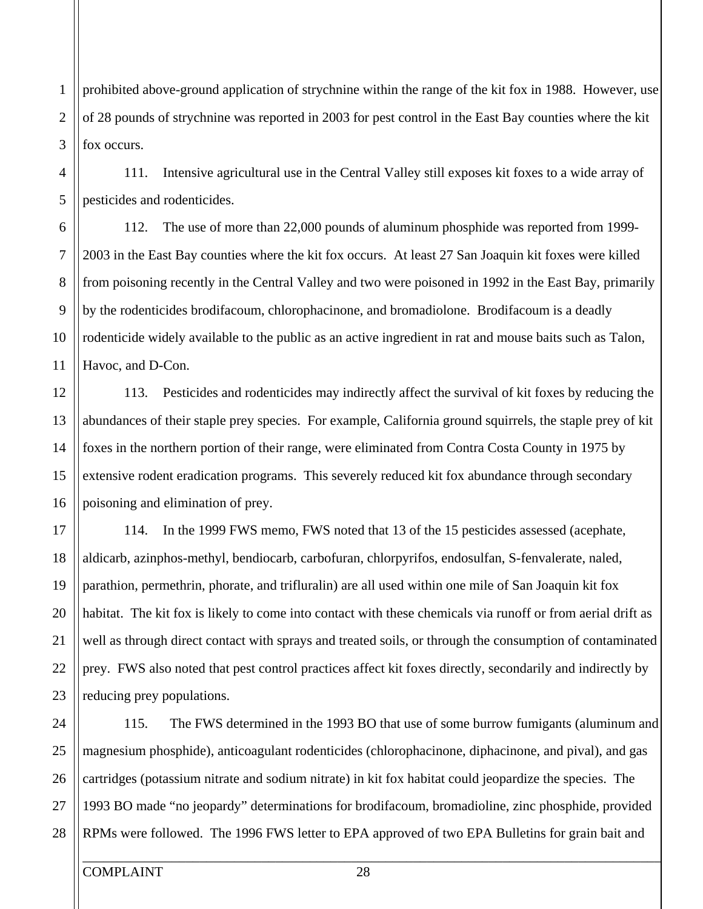prohibited above-ground application of strychnine within the range of the kit fox in 1988. However, use of 28 pounds of strychnine was reported in 2003 for pest control in the East Bay counties where the kit fox occurs.

111. Intensive agricultural use in the Central Valley still exposes kit foxes to a wide array of pesticides and rodenticides.

112. The use of more than 22,000 pounds of aluminum phosphide was reported from 1999 2003 in the East Bay counties where the kit fox occurs. At least 27 San Joaquin kit foxes were killed from poisoning recently in the Central Valley and two were poisoned in 1992 in the East Bay, primarily by the rodenticides brodifacoum, chlorophacinone, and bromadiolone. Brodifacoum is a deadly rodenticide widely available to the public as an active ingredient in rat and mouse baits such as Talon, Havoc, and D-Con.

113. Pesticides and rodenticides may indirectly affect the survival of kit foxes by reducing the abundances of their staple prey species. For example, California ground squirrels, the staple prey of kit foxes in the northern portion of their range, were eliminated from Contra Costa County in 1975 by extensive rodent eradication programs. This severely reduced kit fox abundance through secondary poisoning and elimination of prey.

114. In the 1999 FWS memo, FWS noted that 13 of the 15 pesticides assessed (acephate, aldicarb, azinphos-methyl, bendiocarb, carbofuran, chlorpyrifos, endosulfan, S-fenvalerate, naled, parathion, permethrin, phorate, and trifluralin) are all used within one mile of San Joaquin kit fox habitat. The kit fox is likely to come into contact with these chemicals via runoff or from aerial drift as well as through direct contact with sprays and treated soils, or through the consumption of contaminated prey. FWS also noted that pest control practices affect kit foxes directly, secondarily and indirectly by reducing prey populations.

25 24 26 115. The FWS determined in the 1993 BO that use of some burrow fumigants (aluminum and magnesium phosphide), anticoagulant rodenticides (chlorophacinone, diphacinone, and pival), and gas cartridges (potassium nitrate and sodium nitrate) in kit fox habitat could jeopardize the species. The 1993 BO made "no jeopardy" determinations for brodifacoum, bromadioline, zinc phosphide, provided RPMs were followed. The 1996 FWS letter to EPA approved of two EPA Bulletins for grain bait and

5

6

7

8

9

1

2

3

4

10

11

12

13

14

15

16

17

18

19

20

21

22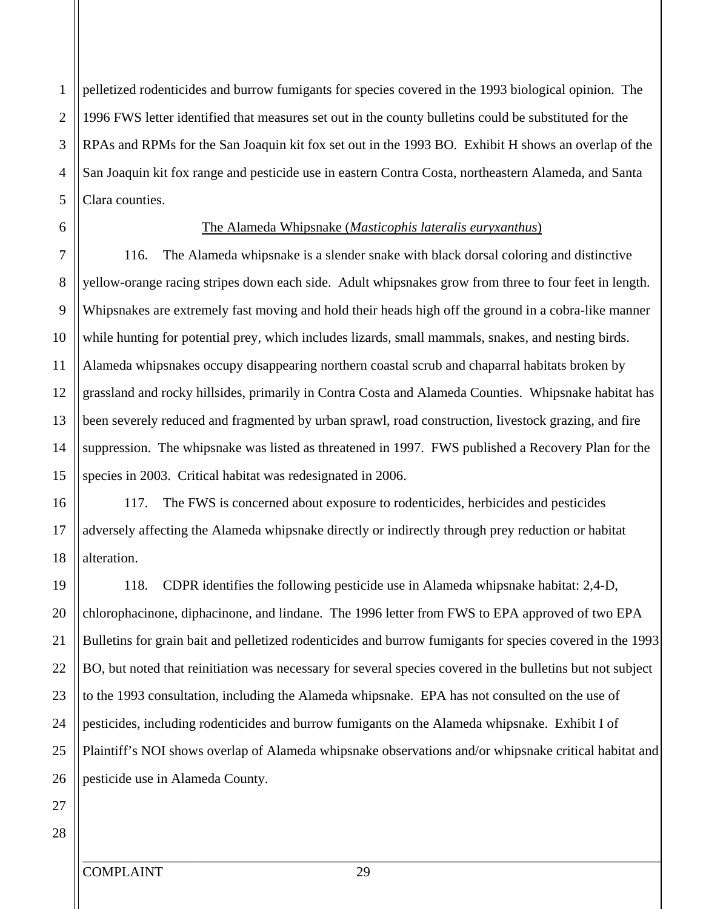1

2

3

pelletized rodenticides and burrow fumigants for species covered in the 1993 biological opinion. The 1996 FWS letter identified that measures set out in the county bulletins could be substituted for the RPAs and RPMs for the San Joaquin kit fox set out in the 1993 BO. Exhibit H shows an overlap of the San Joaquin kit fox range and pesticide use in eastern Contra Costa, northeastern Alameda, and Santa Clara counties.

#### The Alameda Whipsnake (*Masticophis lateralis euryxanthus*)

116. The Alameda whipsnake is a slender snake with black dorsal coloring and distinctive yellow-orange racing stripes down each side. Adult whipsnakes grow from three to four feet in length. Whipsnakes are extremely fast moving and hold their heads high off the ground in a cobra-like manner while hunting for potential prey, which includes lizards, small mammals, snakes, and nesting birds. Alameda whipsnakes occupy disappearing northern coastal scrub and chaparral habitats broken by grassland and rocky hillsides, primarily in Contra Costa and Alameda Counties. Whipsnake habitat has been severely reduced and fragmented by urban sprawl, road construction, livestock grazing, and fire suppression. The whipsnake was listed as threatened in 1997. FWS published a Recovery Plan for the species in 2003. Critical habitat was redesignated in 2006.

117. The FWS is concerned about exposure to rodenticides, herbicides and pesticides adversely affecting the Alameda whipsnake directly or indirectly through prey reduction or habitat alteration.

118. CDPR identifies the following pesticide use in Alameda whipsnake habitat: 2,4-D, chlorophacinone, diphacinone, and lindane. The 1996 letter from FWS to EPA approved of two EPA Bulletins for grain bait and pelletized rodenticides and burrow fumigants for species covered in the 1993 BO, but noted that reinitiation was necessary for several species covered in the bulletins but not subject to the 1993 consultation, including the Alameda whipsnake. EPA has not consulted on the use of pesticides, including rodenticides and burrow fumigants on the Alameda whipsnake. Exhibit I of Plaintiff's NOI shows overlap of Alameda whipsnake observations and/or whipsnake critical habitat and pesticide use in Alameda County.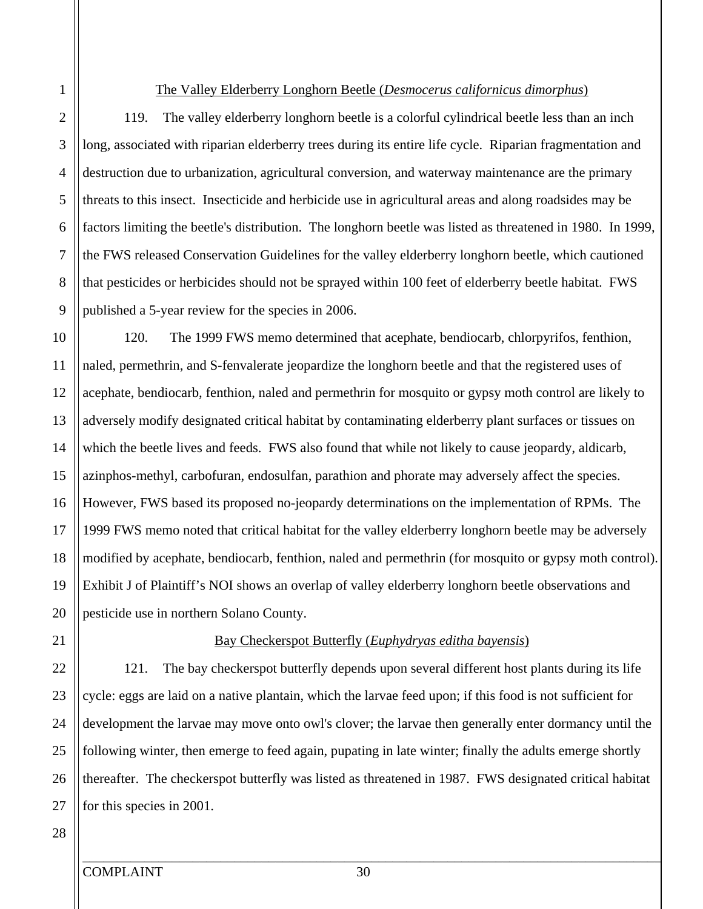#### The Valley Elderberry Longhorn Beetle (*Desmocerus californicus dimorphus*)

119. The valley elderberry longhorn beetle is a colorful cylindrical beetle less than an inch long, associated with riparian elderberry trees during its entire life cycle. Riparian fragmentation and destruction due to urbanization, agricultural conversion, and waterway maintenance are the primary threats to this insect. Insecticide and herbicide use in agricultural areas and along roadsides may be factors limiting the beetle's distribution. The longhorn beetle was listed as threatened in 1980. In 1999, the FWS released Conservation Guidelines for the valley elderberry longhorn beetle, which cautioned that pesticides or herbicides should not be sprayed within 100 feet of elderberry beetle habitat. FWS published a 5-year review for the species in 2006.

120. The 1999 FWS memo determined that acephate, bendiocarb, chlorpyrifos, fenthion, naled, permethrin, and S-fenvalerate jeopardize the longhorn beetle and that the registered uses of acephate, bendiocarb, fenthion, naled and permethrin for mosquito or gypsy moth control are likely to adversely modify designated critical habitat by contaminating elderberry plant surfaces or tissues on which the beetle lives and feeds. FWS also found that while not likely to cause jeopardy, aldicarb, azinphos-methyl, carbofuran, endosulfan, parathion and phorate may adversely affect the species. However, FWS based its proposed no-jeopardy determinations on the implementation of RPMs. The 1999 FWS memo noted that critical habitat for the valley elderberry longhorn beetle may be adversely modified by acephate, bendiocarb, fenthion, naled and permethrin (for mosquito or gypsy moth control). Exhibit J of Plaintiff's NOI shows an overlap of valley elderberry longhorn beetle observations and pesticide use in northern Solano County.

#### Bay Checkerspot Butterfly (*Euphydryas editha bayensis*)

121. The bay checkerspot butterfly depends upon several different host plants during its life cycle: eggs are laid on a native plantain, which the larvae feed upon; if this food is not sufficient for development the larvae may move onto owl's clover; the larvae then generally enter dormancy until the following winter, then emerge to feed again, pupating in late winter; finally the adults emerge shortly thereafter. The checkerspot butterfly was listed as threatened in 1987. FWS designated critical habitat for this species in 2001.

1

2

3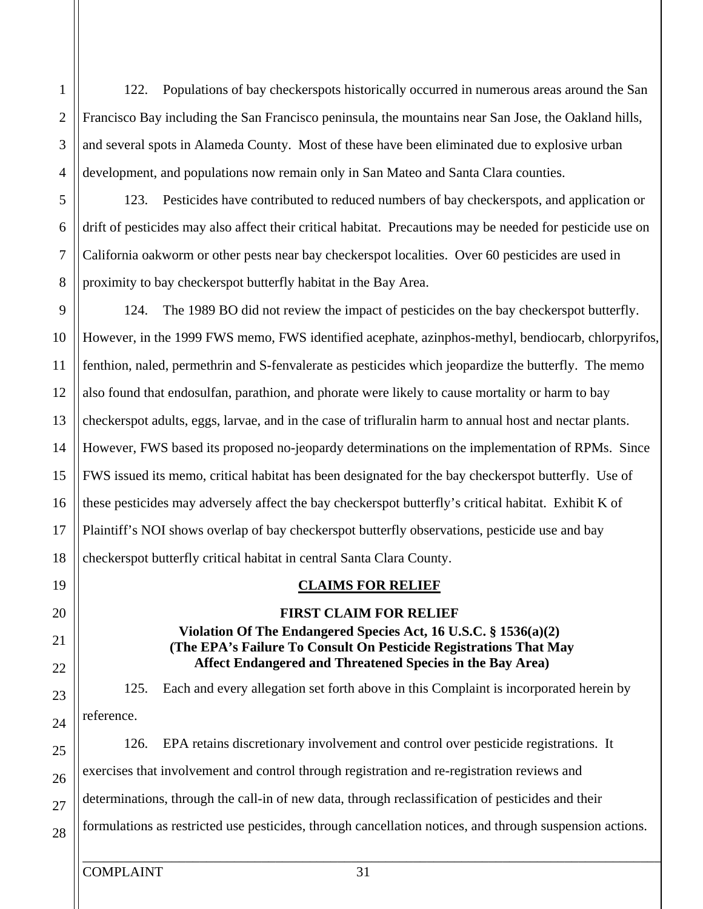122. Populations of bay checkerspots historically occurred in numerous areas around the San Francisco Bay including the San Francisco peninsula, the mountains near San Jose, the Oakland hills, and several spots in Alameda County. Most of these have been eliminated due to explosive urban development, and populations now remain only in San Mateo and Santa Clara counties.

123. Pesticides have contributed to reduced numbers of bay checkerspots, and application or drift of pesticides may also affect their critical habitat. Precautions may be needed for pesticide use on California oakworm or other pests near bay checkerspot localities. Over 60 pesticides are used in proximity to bay checkerspot butterfly habitat in the Bay Area.

124. The 1989 BO did not review the impact of pesticides on the bay checkerspot butterfly. However, in the 1999 FWS memo, FWS identified acephate, azinphos-methyl, bendiocarb, chlorpyrifos, fenthion, naled, permethrin and S-fenvalerate as pesticides which jeopardize the butterfly. The memo also found that endosulfan, parathion, and phorate were likely to cause mortality or harm to bay checkerspot adults, eggs, larvae, and in the case of trifluralin harm to annual host and nectar plants. However, FWS based its proposed no-jeopardy determinations on the implementation of RPMs. Since FWS issued its memo, critical habitat has been designated for the bay checkerspot butterfly. Use of these pesticides may adversely affect the bay checkerspot butterfly's critical habitat. Exhibit K of Plaintiff's NOI shows overlap of bay checkerspot butterfly observations, pesticide use and bay checkerspot butterfly critical habitat in central Santa Clara County.

#### **CLAIMS FOR RELIEF**

### **FIRST CLAIM FOR RELIEF Violation Of The Endangered Species Act, 16 U.S.C. § 1536(a)(2) (The EPA's Failure To Consult On Pesticide Registrations That May Affect Endangered and Threatened Species in the Bay Area)**

125. Each and every allegation set forth above in this Complaint is incorporated herein by reference.

126. EPA retains discretionary involvement and control over pesticide registrations. It exercises that involvement and control through registration and re-registration reviews and determinations, through the call-in of new data, through reclassification of pesticides and their formulations as restricted use pesticides, through cancellation notices, and through suspension actions.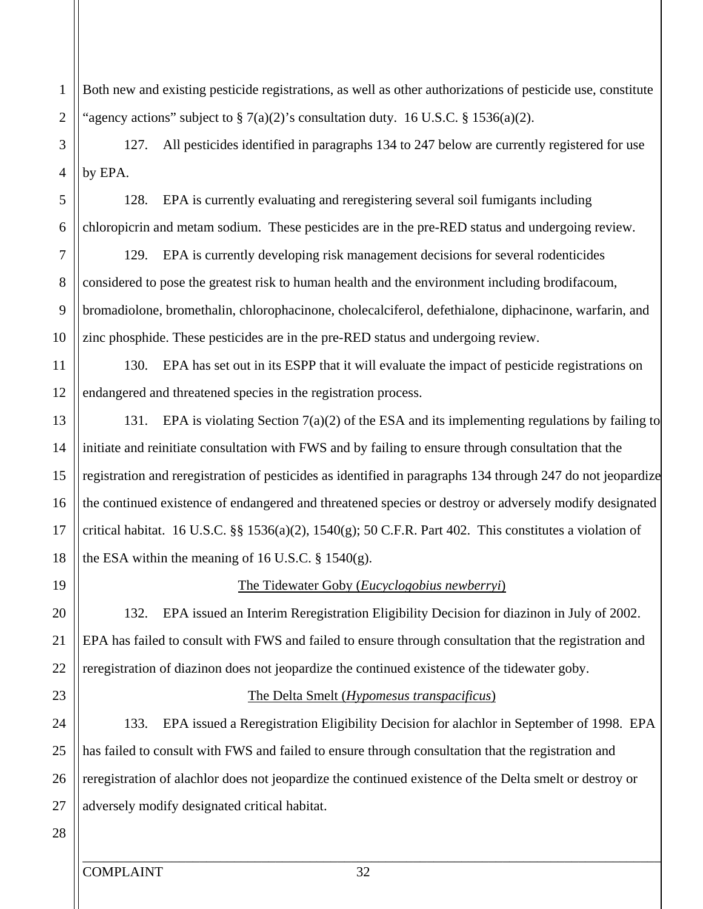1 2 Both new and existing pesticide registrations, as well as other authorizations of pesticide use, constitute "agency actions" subject to  $\S 7(a)(2)$ 's consultation duty. 16 U.S.C.  $\S 1536(a)(2)$ .

3 4 127. All pesticides identified in paragraphs 134 to 247 below are currently registered for use by EPA.

128. EPA is currently evaluating and reregistering several soil fumigants including chloropicrin and metam sodium. These pesticides are in the pre-RED status and undergoing review.

129. EPA is currently developing risk management decisions for several rodenticides considered to pose the greatest risk to human health and the environment including brodifacoum, bromadiolone, bromethalin, chlorophacinone, cholecalciferol, defethialone, diphacinone, warfarin, and zinc phosphide. These pesticides are in the pre-RED status and undergoing review.

130. EPA has set out in its ESPP that it will evaluate the impact of pesticide registrations on endangered and threatened species in the registration process.

131. EPA is violating Section 7(a)(2) of the ESA and its implementing regulations by failing to initiate and reinitiate consultation with FWS and by failing to ensure through consultation that the registration and reregistration of pesticides as identified in paragraphs 134 through 247 do not jeopardize the continued existence of endangered and threatened species or destroy or adversely modify designated critical habitat. 16 U.S.C.  $\S\S 1536(a)(2)$ , 1540(g); 50 C.F.R. Part 402. This constitutes a violation of the ESA within the meaning of 16 U.S.C.  $\S$  1540(g).

5

6

7

8

9

10

#### The Tidewater Goby (*Eucyclogobius newberryi*)

132. EPA issued an Interim Reregistration Eligibility Decision for diazinon in July of 2002. EPA has failed to consult with FWS and failed to ensure through consultation that the registration and reregistration of diazinon does not jeopardize the continued existence of the tidewater goby.

#### The Delta Smelt (*Hypomesus transpacificus*)

133. EPA issued a Reregistration Eligibility Decision for alachlor in September of 1998. EPA has failed to consult with FWS and failed to ensure through consultation that the registration and reregistration of alachlor does not jeopardize the continued existence of the Delta smelt or destroy or adversely modify designated critical habitat.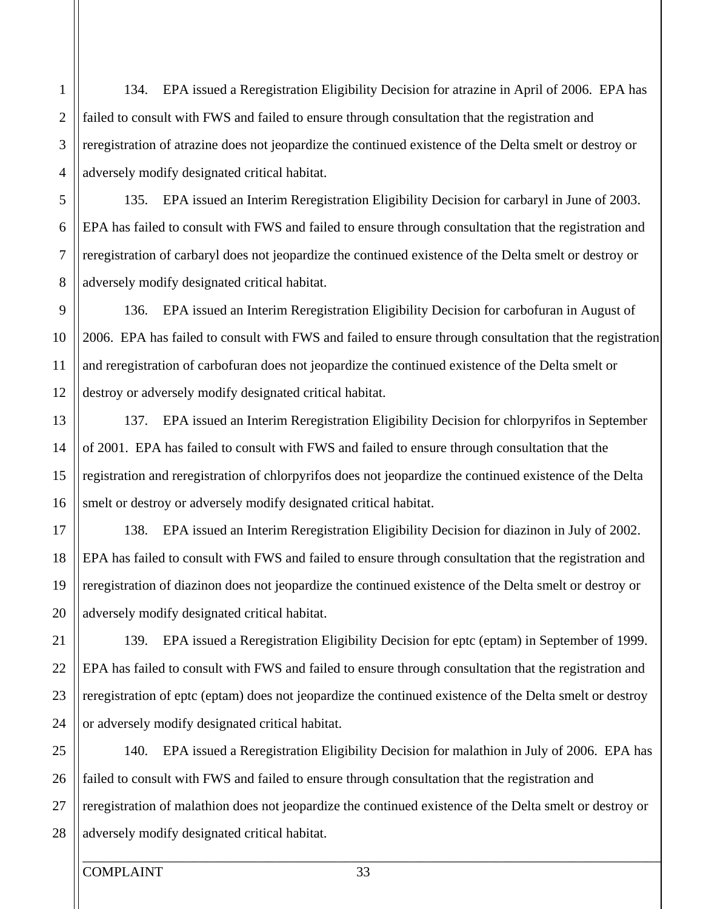134. EPA issued a Reregistration Eligibility Decision for atrazine in April of 2006. EPA has failed to consult with FWS and failed to ensure through consultation that the registration and reregistration of atrazine does not jeopardize the continued existence of the Delta smelt or destroy or adversely modify designated critical habitat.

135. EPA issued an Interim Reregistration Eligibility Decision for carbaryl in June of 2003. EPA has failed to consult with FWS and failed to ensure through consultation that the registration and reregistration of carbaryl does not jeopardize the continued existence of the Delta smelt or destroy or adversely modify designated critical habitat.

136. EPA issued an Interim Reregistration Eligibility Decision for carbofuran in August of 2006. EPA has failed to consult with FWS and failed to ensure through consultation that the registration and reregistration of carbofuran does not jeopardize the continued existence of the Delta smelt or destroy or adversely modify designated critical habitat.

137. EPA issued an Interim Reregistration Eligibility Decision for chlorpyrifos in September of 2001. EPA has failed to consult with FWS and failed to ensure through consultation that the registration and reregistration of chlorpyrifos does not jeopardize the continued existence of the Delta smelt or destroy or adversely modify designated critical habitat.

138. EPA issued an Interim Reregistration Eligibility Decision for diazinon in July of 2002. EPA has failed to consult with FWS and failed to ensure through consultation that the registration and reregistration of diazinon does not jeopardize the continued existence of the Delta smelt or destroy or adversely modify designated critical habitat.

139. EPA issued a Reregistration Eligibility Decision for eptc (eptam) in September of 1999. EPA has failed to consult with FWS and failed to ensure through consultation that the registration and reregistration of eptc (eptam) does not jeopardize the continued existence of the Delta smelt or destroy or adversely modify designated critical habitat.

25 26 27 28 140. EPA issued a Reregistration Eligibility Decision for malathion in July of 2006. EPA has failed to consult with FWS and failed to ensure through consultation that the registration and reregistration of malathion does not jeopardize the continued existence of the Delta smelt or destroy or adversely modify designated critical habitat.

5

6

7

8

9

4

1

2

3

10

11

12

13

15

16

17

18

19

14

20

21

22

23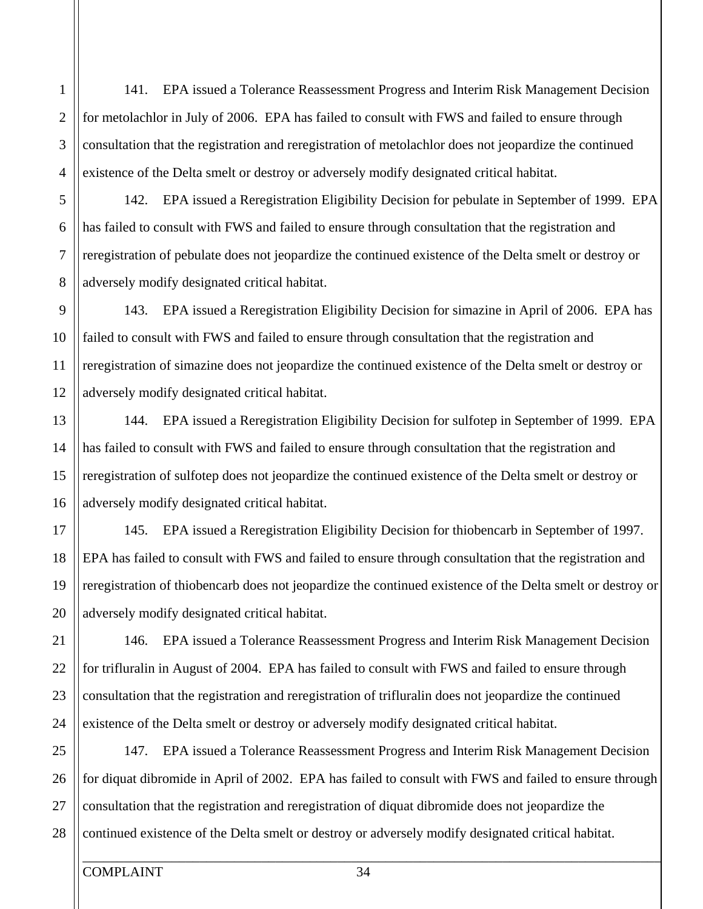141. EPA issued a Tolerance Reassessment Progress and Interim Risk Management Decision for metolachlor in July of 2006. EPA has failed to consult with FWS and failed to ensure through consultation that the registration and reregistration of metolachlor does not jeopardize the continued existence of the Delta smelt or destroy or adversely modify designated critical habitat.

142. EPA issued a Reregistration Eligibility Decision for pebulate in September of 1999. EPA has failed to consult with FWS and failed to ensure through consultation that the registration and reregistration of pebulate does not jeopardize the continued existence of the Delta smelt or destroy or adversely modify designated critical habitat.

143. EPA issued a Reregistration Eligibility Decision for simazine in April of 2006. EPA has failed to consult with FWS and failed to ensure through consultation that the registration and reregistration of simazine does not jeopardize the continued existence of the Delta smelt or destroy or adversely modify designated critical habitat.

144. EPA issued a Reregistration Eligibility Decision for sulfotep in September of 1999. EPA has failed to consult with FWS and failed to ensure through consultation that the registration and reregistration of sulfotep does not jeopardize the continued existence of the Delta smelt or destroy or adversely modify designated critical habitat.

145. EPA issued a Reregistration Eligibility Decision for thiobencarb in September of 1997. EPA has failed to consult with FWS and failed to ensure through consultation that the registration and reregistration of thiobencarb does not jeopardize the continued existence of the Delta smelt or destroy or adversely modify designated critical habitat.

146. EPA issued a Tolerance Reassessment Progress and Interim Risk Management Decision for trifluralin in August of 2004. EPA has failed to consult with FWS and failed to ensure through consultation that the registration and reregistration of trifluralin does not jeopardize the continued existence of the Delta smelt or destroy or adversely modify designated critical habitat.

25 26 27 28 147. EPA issued a Tolerance Reassessment Progress and Interim Risk Management Decision for diquat dibromide in April of 2002. EPA has failed to consult with FWS and failed to ensure through consultation that the registration and reregistration of diquat dibromide does not jeopardize the continued existence of the Delta smelt or destroy or adversely modify designated critical habitat.

5

6

7

8

9

4

1

2

3

10

11

12

13

15

16

17

18

19

14

20

21

22

23

24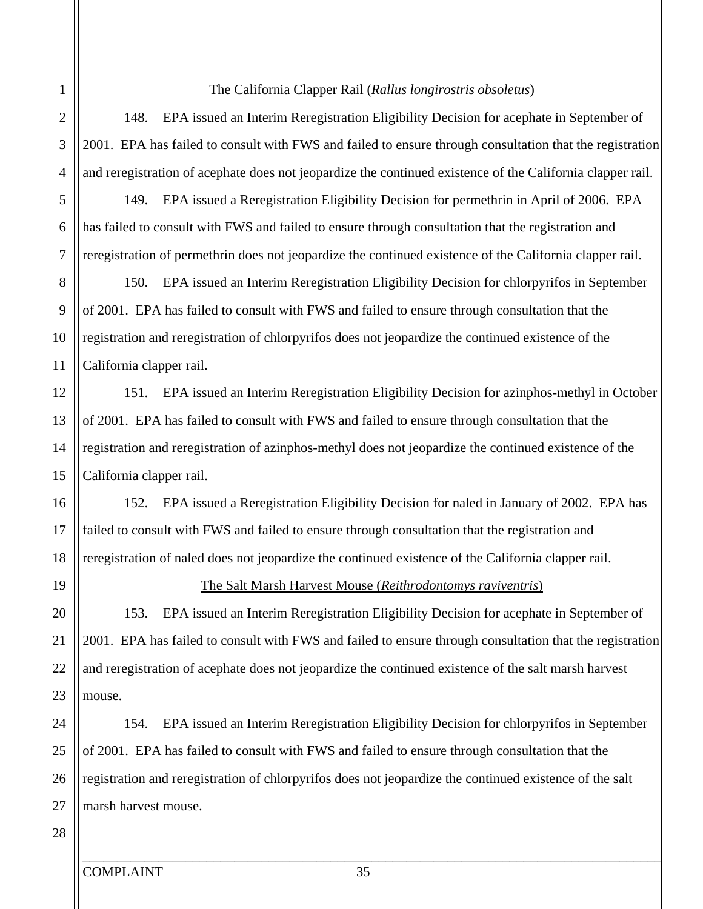#### The California Clapper Rail (*Rallus longirostris obsoletus*)

148. EPA issued an Interim Reregistration Eligibility Decision for acephate in September of 2001. EPA has failed to consult with FWS and failed to ensure through consultation that the registration and reregistration of acephate does not jeopardize the continued existence of the California clapper rail.

149. EPA issued a Reregistration Eligibility Decision for permethrin in April of 2006. EPA has failed to consult with FWS and failed to ensure through consultation that the registration and reregistration of permethrin does not jeopardize the continued existence of the California clapper rail.

150. EPA issued an Interim Reregistration Eligibility Decision for chlorpyrifos in September of 2001. EPA has failed to consult with FWS and failed to ensure through consultation that the registration and reregistration of chlorpyrifos does not jeopardize the continued existence of the California clapper rail.

151. EPA issued an Interim Reregistration Eligibility Decision for azinphos-methyl in October of 2001. EPA has failed to consult with FWS and failed to ensure through consultation that the registration and reregistration of azinphos-methyl does not jeopardize the continued existence of the California clapper rail.

152. EPA issued a Reregistration Eligibility Decision for naled in January of 2002. EPA has failed to consult with FWS and failed to ensure through consultation that the registration and reregistration of naled does not jeopardize the continued existence of the California clapper rail.

#### The Salt Marsh Harvest Mouse (*Reithrodontomys raviventris*)

153. EPA issued an Interim Reregistration Eligibility Decision for acephate in September of 2001. EPA has failed to consult with FWS and failed to ensure through consultation that the registration and reregistration of acephate does not jeopardize the continued existence of the salt marsh harvest mouse.

154. EPA issued an Interim Reregistration Eligibility Decision for chlorpyrifos in September of 2001. EPA has failed to consult with FWS and failed to ensure through consultation that the registration and reregistration of chlorpyrifos does not jeopardize the continued existence of the salt marsh harvest mouse.

5

6

7

4

1

2

3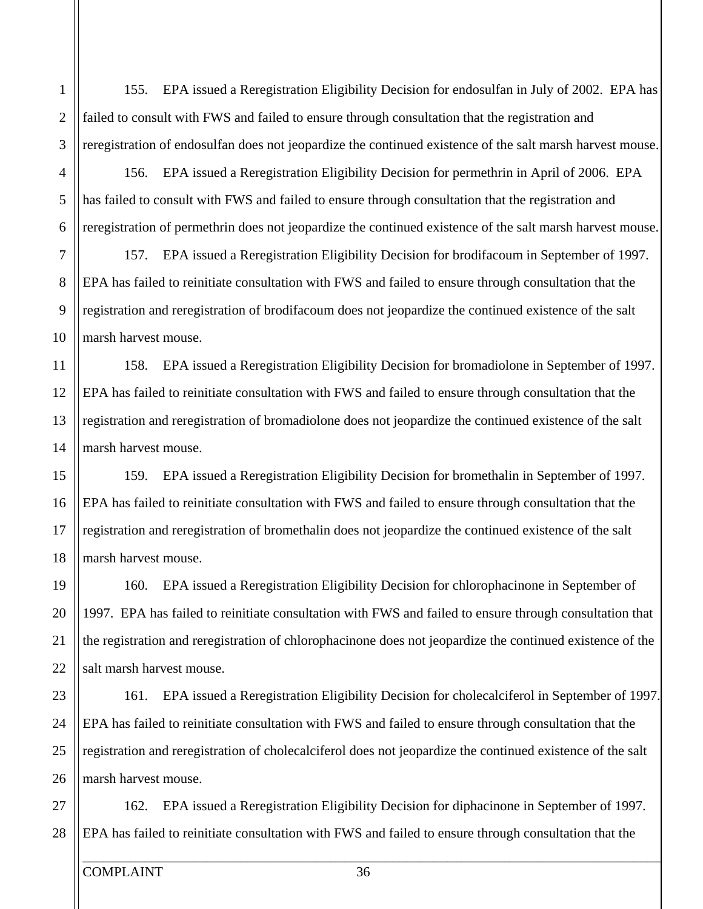155. EPA issued a Reregistration Eligibility Decision for endosulfan in July of 2002. EPA has failed to consult with FWS and failed to ensure through consultation that the registration and reregistration of endosulfan does not jeopardize the continued existence of the salt marsh harvest mouse.

156. EPA issued a Reregistration Eligibility Decision for permethrin in April of 2006. EPA has failed to consult with FWS and failed to ensure through consultation that the registration and reregistration of permethrin does not jeopardize the continued existence of the salt marsh harvest mouse.

157. EPA issued a Reregistration Eligibility Decision for brodifacoum in September of 1997. EPA has failed to reinitiate consultation with FWS and failed to ensure through consultation that the registration and reregistration of brodifacoum does not jeopardize the continued existence of the salt marsh harvest mouse.

158. EPA issued a Reregistration Eligibility Decision for bromadiolone in September of 1997. EPA has failed to reinitiate consultation with FWS and failed to ensure through consultation that the registration and reregistration of bromadiolone does not jeopardize the continued existence of the salt marsh harvest mouse.

159. EPA issued a Reregistration Eligibility Decision for bromethalin in September of 1997. EPA has failed to reinitiate consultation with FWS and failed to ensure through consultation that the registration and reregistration of bromethalin does not jeopardize the continued existence of the salt marsh harvest mouse.

160. EPA issued a Reregistration Eligibility Decision for chlorophacinone in September of 1997. EPA has failed to reinitiate consultation with FWS and failed to ensure through consultation that the registration and reregistration of chlorophacinone does not jeopardize the continued existence of the salt marsh harvest mouse.

161. EPA issued a Reregistration Eligibility Decision for cholecalciferol in September of 1997. EPA has failed to reinitiate consultation with FWS and failed to ensure through consultation that the registration and reregistration of cholecalciferol does not jeopardize the continued existence of the salt marsh harvest mouse.

162. EPA issued a Reregistration Eligibility Decision for diphacinone in September of 1997. EPA has failed to reinitiate consultation with FWS and failed to ensure through consultation that the

5

6

7

1

2

3

4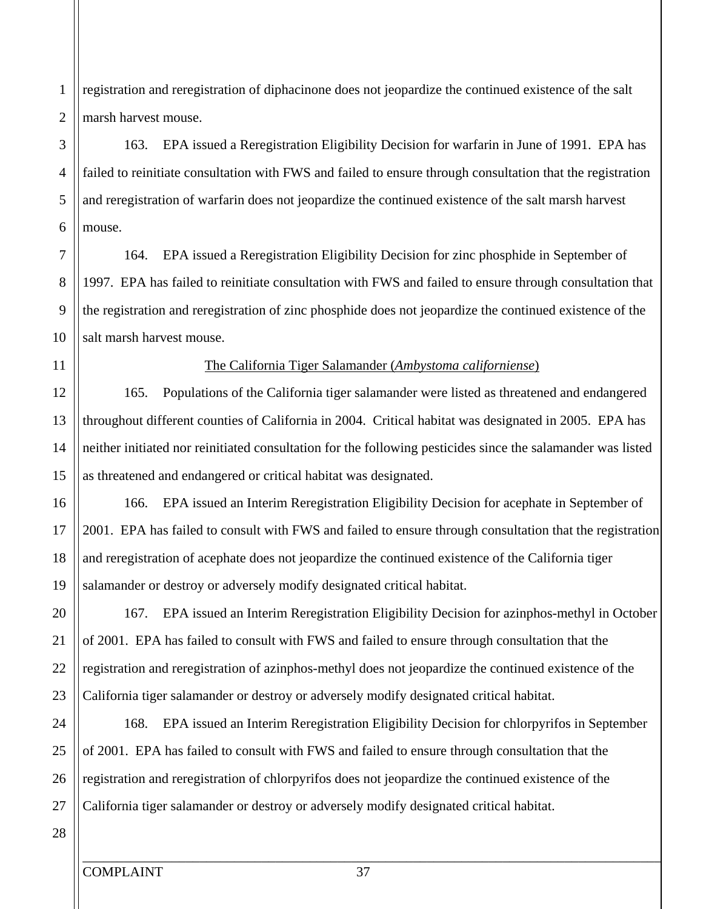registration and reregistration of diphacinone does not jeopardize the continued existence of the salt marsh harvest mouse.

# 163. EPA issued a Reregistration Eligibility Decision for warfarin in June of 1991. EPA has failed to reinitiate consultation with FWS and failed to ensure through consultation that the registration and reregistration of warfarin does not jeopardize the continued existence of the salt marsh harvest mouse.

164. EPA issued a Reregistration Eligibility Decision for zinc phosphide in September of 1997. EPA has failed to reinitiate consultation with FWS and failed to ensure through consultation that the registration and reregistration of zinc phosphide does not jeopardize the continued existence of the salt marsh harvest mouse.

#### The California Tiger Salamander (*Ambystoma californiense*)

165. Populations of the California tiger salamander were listed as threatened and endangered throughout different counties of California in 2004. Critical habitat was designated in 2005. EPA has neither initiated nor reinitiated consultation for the following pesticides since the salamander was listed as threatened and endangered or critical habitat was designated.

166. EPA issued an Interim Reregistration Eligibility Decision for acephate in September of 2001. EPA has failed to consult with FWS and failed to ensure through consultation that the registration and reregistration of acephate does not jeopardize the continued existence of the California tiger salamander or destroy or adversely modify designated critical habitat.

167. EPA issued an Interim Reregistration Eligibility Decision for azinphos-methyl in October of 2001. EPA has failed to consult with FWS and failed to ensure through consultation that the registration and reregistration of azinphos-methyl does not jeopardize the continued existence of the California tiger salamander or destroy or adversely modify designated critical habitat.

168. EPA issued an Interim Reregistration Eligibility Decision for chlorpyrifos in September of 2001. EPA has failed to consult with FWS and failed to ensure through consultation that the registration and reregistration of chlorpyrifos does not jeopardize the continued existence of the California tiger salamander or destroy or adversely modify designated critical habitat.

5

6

7

8

9

4

1

2

3

10

11

12

13

14

15

16

17

18

19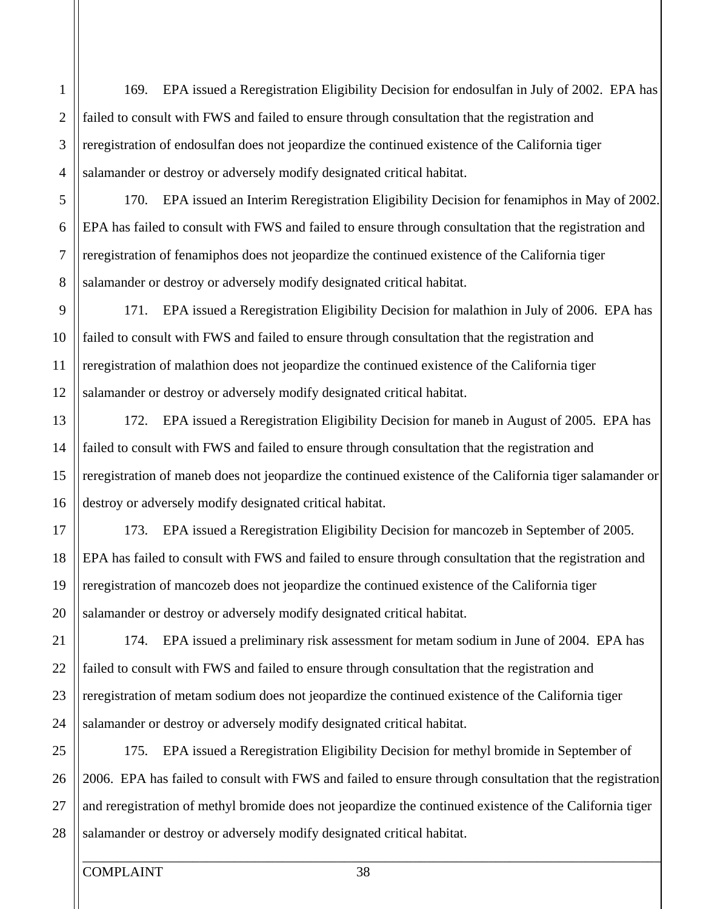169. EPA issued a Reregistration Eligibility Decision for endosulfan in July of 2002. EPA has failed to consult with FWS and failed to ensure through consultation that the registration and reregistration of endosulfan does not jeopardize the continued existence of the California tiger salamander or destroy or adversely modify designated critical habitat.

170. EPA issued an Interim Reregistration Eligibility Decision for fenamiphos in May of 2002. EPA has failed to consult with FWS and failed to ensure through consultation that the registration and reregistration of fenamiphos does not jeopardize the continued existence of the California tiger salamander or destroy or adversely modify designated critical habitat.

171. EPA issued a Reregistration Eligibility Decision for malathion in July of 2006. EPA has failed to consult with FWS and failed to ensure through consultation that the registration and reregistration of malathion does not jeopardize the continued existence of the California tiger salamander or destroy or adversely modify designated critical habitat.

172. EPA issued a Reregistration Eligibility Decision for maneb in August of 2005. EPA has failed to consult with FWS and failed to ensure through consultation that the registration and reregistration of maneb does not jeopardize the continued existence of the California tiger salamander or destroy or adversely modify designated critical habitat.

173. EPA issued a Reregistration Eligibility Decision for mancozeb in September of 2005. EPA has failed to consult with FWS and failed to ensure through consultation that the registration and reregistration of mancozeb does not jeopardize the continued existence of the California tiger salamander or destroy or adversely modify designated critical habitat.

174. EPA issued a preliminary risk assessment for metam sodium in June of 2004. EPA has failed to consult with FWS and failed to ensure through consultation that the registration and reregistration of metam sodium does not jeopardize the continued existence of the California tiger salamander or destroy or adversely modify designated critical habitat.

175. EPA issued a Reregistration Eligibility Decision for methyl bromide in September of 2006. EPA has failed to consult with FWS and failed to ensure through consultation that the registration and reregistration of methyl bromide does not jeopardize the continued existence of the California tiger salamander or destroy or adversely modify designated critical habitat.

5

4

1

2

3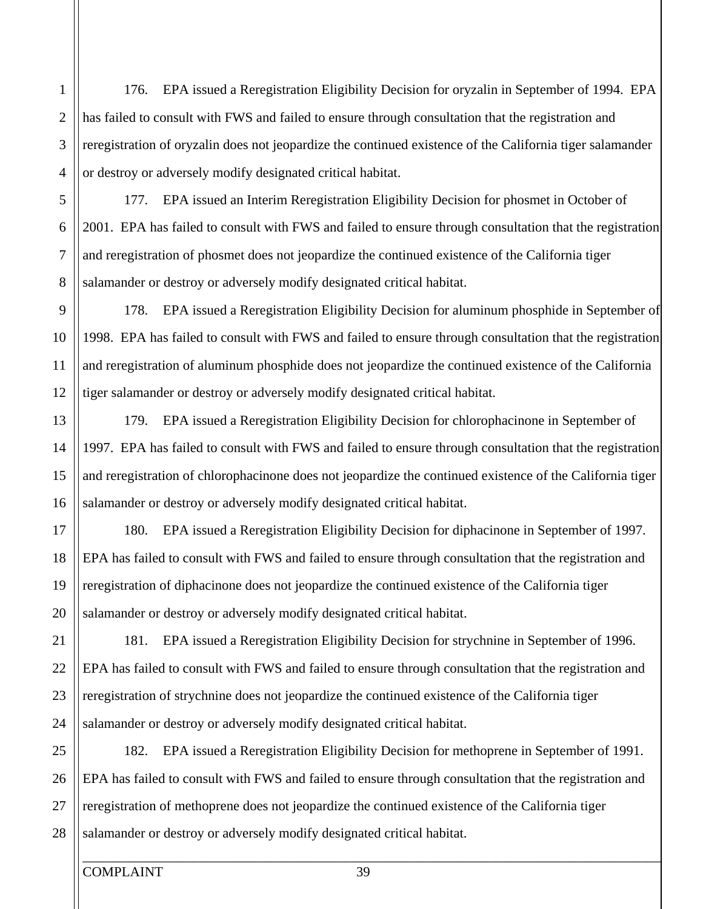176. EPA issued a Reregistration Eligibility Decision for oryzalin in September of 1994. EPA has failed to consult with FWS and failed to ensure through consultation that the registration and reregistration of oryzalin does not jeopardize the continued existence of the California tiger salamander or destroy or adversely modify designated critical habitat.

177. EPA issued an Interim Reregistration Eligibility Decision for phosmet in October of 2001. EPA has failed to consult with FWS and failed to ensure through consultation that the registration and reregistration of phosmet does not jeopardize the continued existence of the California tiger salamander or destroy or adversely modify designated critical habitat.

178. EPA issued a Reregistration Eligibility Decision for aluminum phosphide in September of 1998. EPA has failed to consult with FWS and failed to ensure through consultation that the registration and reregistration of aluminum phosphide does not jeopardize the continued existence of the California tiger salamander or destroy or adversely modify designated critical habitat.

179. EPA issued a Reregistration Eligibility Decision for chlorophacinone in September of 1997. EPA has failed to consult with FWS and failed to ensure through consultation that the registration and reregistration of chlorophacinone does not jeopardize the continued existence of the California tiger salamander or destroy or adversely modify designated critical habitat.

180. EPA issued a Reregistration Eligibility Decision for diphacinone in September of 1997. EPA has failed to consult with FWS and failed to ensure through consultation that the registration and reregistration of diphacinone does not jeopardize the continued existence of the California tiger salamander or destroy or adversely modify designated critical habitat.

181. EPA issued a Reregistration Eligibility Decision for strychnine in September of 1996. EPA has failed to consult with FWS and failed to ensure through consultation that the registration and reregistration of strychnine does not jeopardize the continued existence of the California tiger salamander or destroy or adversely modify designated critical habitat.

25 26 27 28 182. EPA issued a Reregistration Eligibility Decision for methoprene in September of 1991. EPA has failed to consult with FWS and failed to ensure through consultation that the registration and reregistration of methoprene does not jeopardize the continued existence of the California tiger salamander or destroy or adversely modify designated critical habitat.

5

6

7

8

9

4

1

2

3

10

11

12

13

15

16

17

18

14

20

21

22

23

24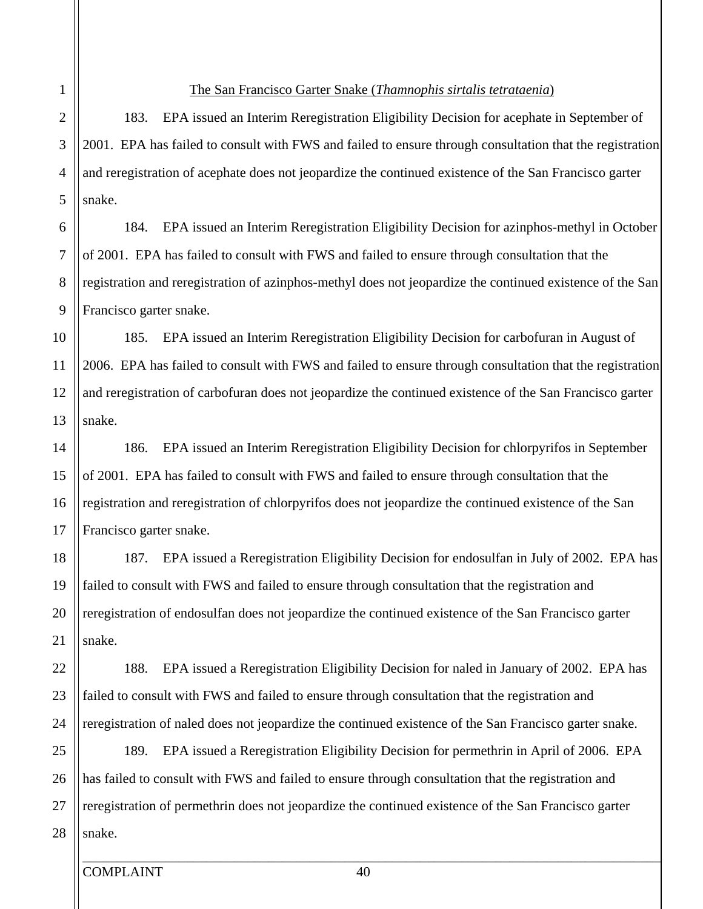24

#### The San Francisco Garter Snake (*Thamnophis sirtalis tetrataenia*)

183. EPA issued an Interim Reregistration Eligibility Decision for acephate in September of 2001. EPA has failed to consult with FWS and failed to ensure through consultation that the registration and reregistration of acephate does not jeopardize the continued existence of the San Francisco garter snake.

184. EPA issued an Interim Reregistration Eligibility Decision for azinphos-methyl in October of 2001. EPA has failed to consult with FWS and failed to ensure through consultation that the registration and reregistration of azinphos-methyl does not jeopardize the continued existence of the San Francisco garter snake.

185. EPA issued an Interim Reregistration Eligibility Decision for carbofuran in August of 2006. EPA has failed to consult with FWS and failed to ensure through consultation that the registration and reregistration of carbofuran does not jeopardize the continued existence of the San Francisco garter snake.

## 186. EPA issued an Interim Reregistration Eligibility Decision for chlorpyrifos in September of 2001. EPA has failed to consult with FWS and failed to ensure through consultation that the registration and reregistration of chlorpyrifos does not jeopardize the continued existence of the San Francisco garter snake.

187. EPA issued a Reregistration Eligibility Decision for endosulfan in July of 2002. EPA has failed to consult with FWS and failed to ensure through consultation that the registration and reregistration of endosulfan does not jeopardize the continued existence of the San Francisco garter snake.

188. EPA issued a Reregistration Eligibility Decision for naled in January of 2002. EPA has failed to consult with FWS and failed to ensure through consultation that the registration and reregistration of naled does not jeopardize the continued existence of the San Francisco garter snake.

25 26 27 28 189. EPA issued a Reregistration Eligibility Decision for permethrin in April of 2006. EPA has failed to consult with FWS and failed to ensure through consultation that the registration and reregistration of permethrin does not jeopardize the continued existence of the San Francisco garter snake.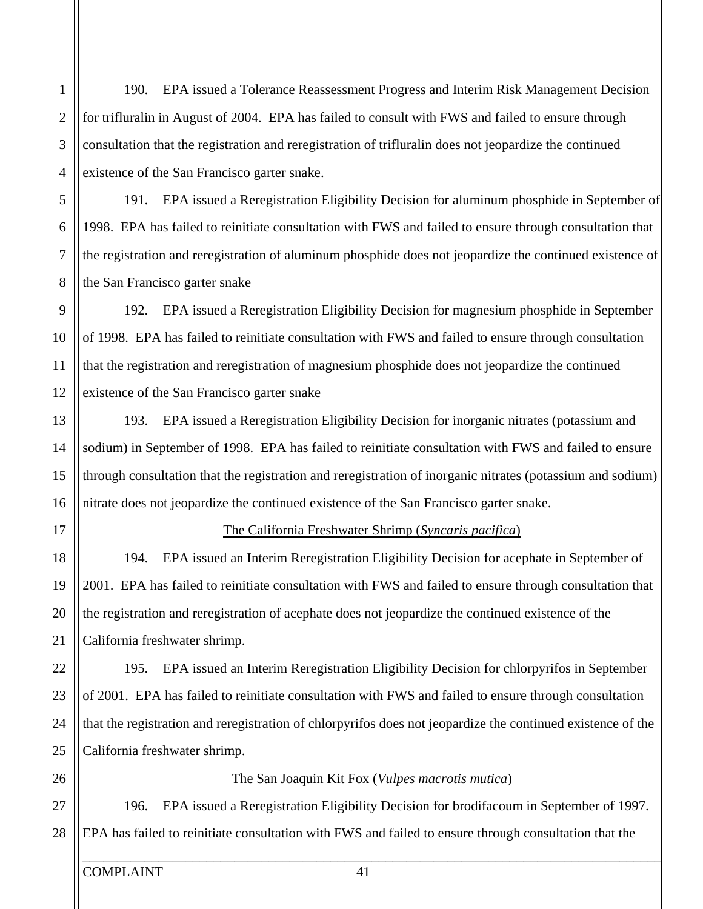190. EPA issued a Tolerance Reassessment Progress and Interim Risk Management Decision for trifluralin in August of 2004. EPA has failed to consult with FWS and failed to ensure through consultation that the registration and reregistration of trifluralin does not jeopardize the continued existence of the San Francisco garter snake.

191. EPA issued a Reregistration Eligibility Decision for aluminum phosphide in September of 1998. EPA has failed to reinitiate consultation with FWS and failed to ensure through consultation that the registration and reregistration of aluminum phosphide does not jeopardize the continued existence of the San Francisco garter snake

192. EPA issued a Reregistration Eligibility Decision for magnesium phosphide in September of 1998. EPA has failed to reinitiate consultation with FWS and failed to ensure through consultation that the registration and reregistration of magnesium phosphide does not jeopardize the continued existence of the San Francisco garter snake

193. EPA issued a Reregistration Eligibility Decision for inorganic nitrates (potassium and sodium) in September of 1998. EPA has failed to reinitiate consultation with FWS and failed to ensure through consultation that the registration and reregistration of inorganic nitrates (potassium and sodium) nitrate does not jeopardize the continued existence of the San Francisco garter snake.

17

20

21

22

23

19

25

26

24

15

16

18

14

5

6

7

8

9

4

1

2

3

10

11

12

13

#### The California Freshwater Shrimp (*Syncaris pacifica*)

194. EPA issued an Interim Reregistration Eligibility Decision for acephate in September of 2001. EPA has failed to reinitiate consultation with FWS and failed to ensure through consultation that the registration and reregistration of acephate does not jeopardize the continued existence of the California freshwater shrimp.

195. EPA issued an Interim Reregistration Eligibility Decision for chlorpyrifos in September of 2001. EPA has failed to reinitiate consultation with FWS and failed to ensure through consultation that the registration and reregistration of chlorpyrifos does not jeopardize the continued existence of the California freshwater shrimp.

#### The San Joaquin Kit Fox (*Vulpes macrotis mutica*)

27 28 196. EPA issued a Reregistration Eligibility Decision for brodifacoum in September of 1997. EPA has failed to reinitiate consultation with FWS and failed to ensure through consultation that the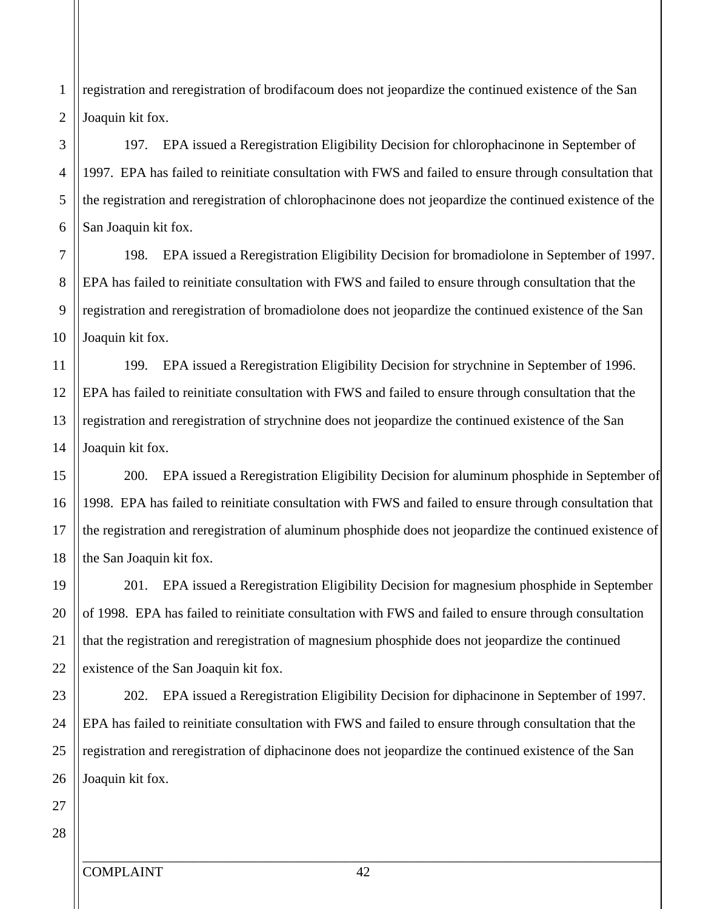registration and reregistration of brodifacoum does not jeopardize the continued existence of the San Joaquin kit fox.

# 197. EPA issued a Reregistration Eligibility Decision for chlorophacinone in September of 1997. EPA has failed to reinitiate consultation with FWS and failed to ensure through consultation that the registration and reregistration of chlorophacinone does not jeopardize the continued existence of the San Joaquin kit fox.

198. EPA issued a Reregistration Eligibility Decision for bromadiolone in September of 1997. EPA has failed to reinitiate consultation with FWS and failed to ensure through consultation that the registration and reregistration of bromadiolone does not jeopardize the continued existence of the San Joaquin kit fox.

12 13 14 199. EPA issued a Reregistration Eligibility Decision for strychnine in September of 1996. EPA has failed to reinitiate consultation with FWS and failed to ensure through consultation that the registration and reregistration of strychnine does not jeopardize the continued existence of the San Joaquin kit fox.

200. EPA issued a Reregistration Eligibility Decision for aluminum phosphide in September of 1998. EPA has failed to reinitiate consultation with FWS and failed to ensure through consultation that the registration and reregistration of aluminum phosphide does not jeopardize the continued existence of the San Joaquin kit fox.

201. EPA issued a Reregistration Eligibility Decision for magnesium phosphide in September of 1998. EPA has failed to reinitiate consultation with FWS and failed to ensure through consultation that the registration and reregistration of magnesium phosphide does not jeopardize the continued existence of the San Joaquin kit fox.

202. EPA issued a Reregistration Eligibility Decision for diphacinone in September of 1997. EPA has failed to reinitiate consultation with FWS and failed to ensure through consultation that the registration and reregistration of diphacinone does not jeopardize the continued existence of the San Joaquin kit fox.

28

5

6

7

8

9

4

1

2

3

10

11

15

16

17

18

20

21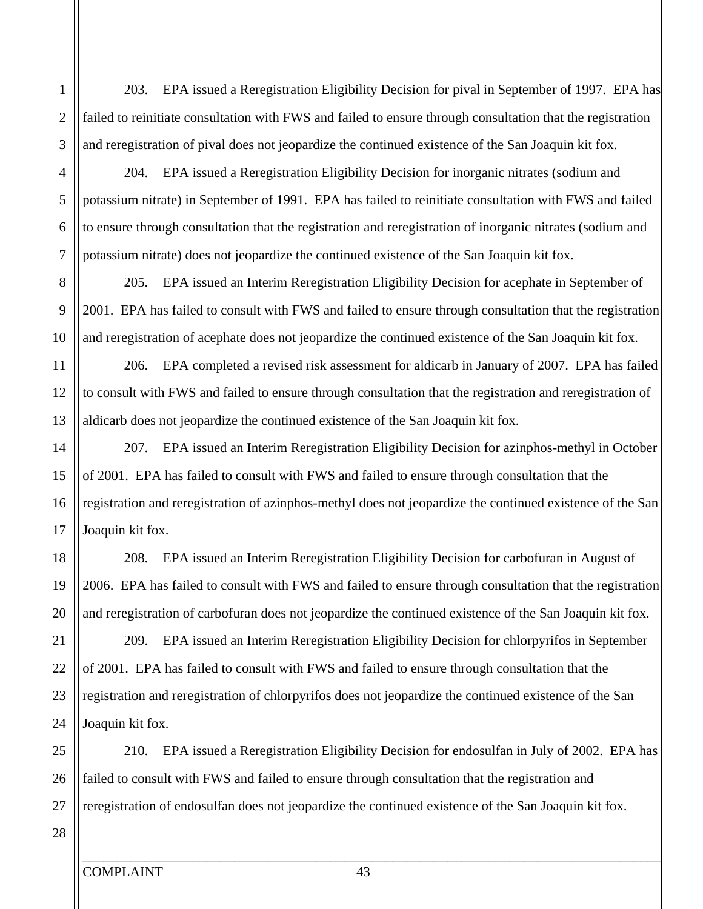1

2

3

4

203. EPA issued a Reregistration Eligibility Decision for pival in September of 1997. EPA has failed to reinitiate consultation with FWS and failed to ensure through consultation that the registration and reregistration of pival does not jeopardize the continued existence of the San Joaquin kit fox.

204. EPA issued a Reregistration Eligibility Decision for inorganic nitrates (sodium and potassium nitrate) in September of 1991. EPA has failed to reinitiate consultation with FWS and failed to ensure through consultation that the registration and reregistration of inorganic nitrates (sodium and potassium nitrate) does not jeopardize the continued existence of the San Joaquin kit fox.

205. EPA issued an Interim Reregistration Eligibility Decision for acephate in September of 2001. EPA has failed to consult with FWS and failed to ensure through consultation that the registration and reregistration of acephate does not jeopardize the continued existence of the San Joaquin kit fox.

206. EPA completed a revised risk assessment for aldicarb in January of 2007. EPA has failed to consult with FWS and failed to ensure through consultation that the registration and reregistration of aldicarb does not jeopardize the continued existence of the San Joaquin kit fox.

207. EPA issued an Interim Reregistration Eligibility Decision for azinphos-methyl in October of 2001. EPA has failed to consult with FWS and failed to ensure through consultation that the registration and reregistration of azinphos-methyl does not jeopardize the continued existence of the San Joaquin kit fox.

208. EPA issued an Interim Reregistration Eligibility Decision for carbofuran in August of 2006. EPA has failed to consult with FWS and failed to ensure through consultation that the registration and reregistration of carbofuran does not jeopardize the continued existence of the San Joaquin kit fox.

209. EPA issued an Interim Reregistration Eligibility Decision for chlorpyrifos in September of 2001. EPA has failed to consult with FWS and failed to ensure through consultation that the registration and reregistration of chlorpyrifos does not jeopardize the continued existence of the San Joaquin kit fox.

26 27 210. EPA issued a Reregistration Eligibility Decision for endosulfan in July of 2002. EPA has failed to consult with FWS and failed to ensure through consultation that the registration and reregistration of endosulfan does not jeopardize the continued existence of the San Joaquin kit fox.

28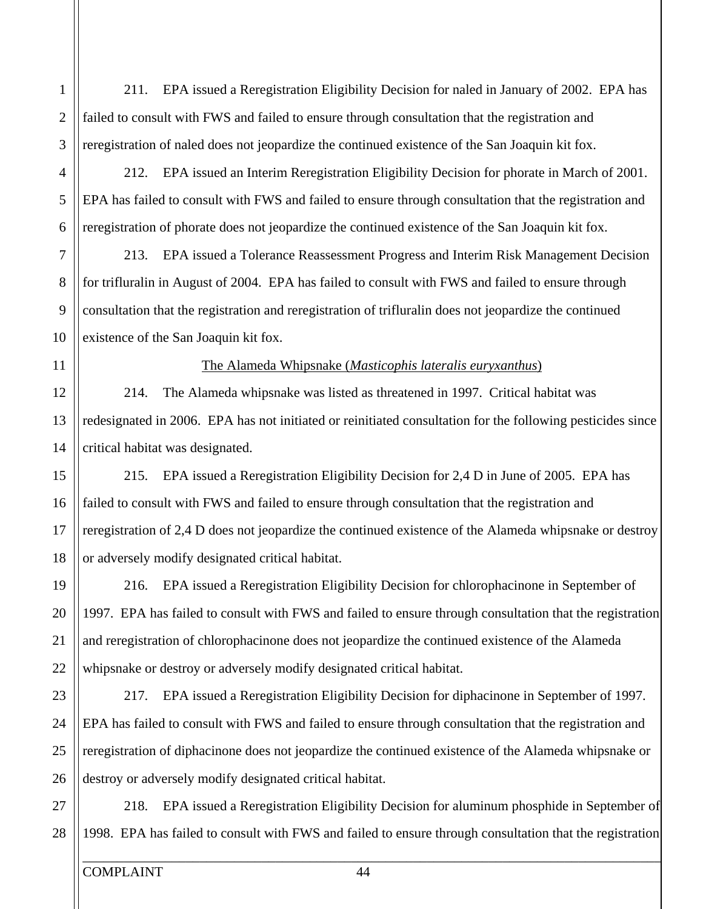211. EPA issued a Reregistration Eligibility Decision for naled in January of 2002. EPA has failed to consult with FWS and failed to ensure through consultation that the registration and reregistration of naled does not jeopardize the continued existence of the San Joaquin kit fox.

212. EPA issued an Interim Reregistration Eligibility Decision for phorate in March of 2001. EPA has failed to consult with FWS and failed to ensure through consultation that the registration and reregistration of phorate does not jeopardize the continued existence of the San Joaquin kit fox.

213. EPA issued a Tolerance Reassessment Progress and Interim Risk Management Decision for trifluralin in August of 2004. EPA has failed to consult with FWS and failed to ensure through consultation that the registration and reregistration of trifluralin does not jeopardize the continued existence of the San Joaquin kit fox.

The Alameda Whipsnake (*Masticophis lateralis euryxanthus*)

214. The Alameda whipsnake was listed as threatened in 1997. Critical habitat was redesignated in 2006. EPA has not initiated or reinitiated consultation for the following pesticides since critical habitat was designated.

215. EPA issued a Reregistration Eligibility Decision for 2,4 D in June of 2005. EPA has failed to consult with FWS and failed to ensure through consultation that the registration and reregistration of 2,4 D does not jeopardize the continued existence of the Alameda whipsnake or destroy or adversely modify designated critical habitat.

216. EPA issued a Reregistration Eligibility Decision for chlorophacinone in September of 1997. EPA has failed to consult with FWS and failed to ensure through consultation that the registration and reregistration of chlorophacinone does not jeopardize the continued existence of the Alameda whipsnake or destroy or adversely modify designated critical habitat.

217. EPA issued a Reregistration Eligibility Decision for diphacinone in September of 1997. EPA has failed to consult with FWS and failed to ensure through consultation that the registration and reregistration of diphacinone does not jeopardize the continued existence of the Alameda whipsnake or destroy or adversely modify designated critical habitat.

218. EPA issued a Reregistration Eligibility Decision for aluminum phosphide in September of 1998. EPA has failed to consult with FWS and failed to ensure through consultation that the registration

5

6

7

8

9

1

2

3

4

10

11

12

13

15

16

17

18

14

20

21

22

23

19

25

26

27

28

24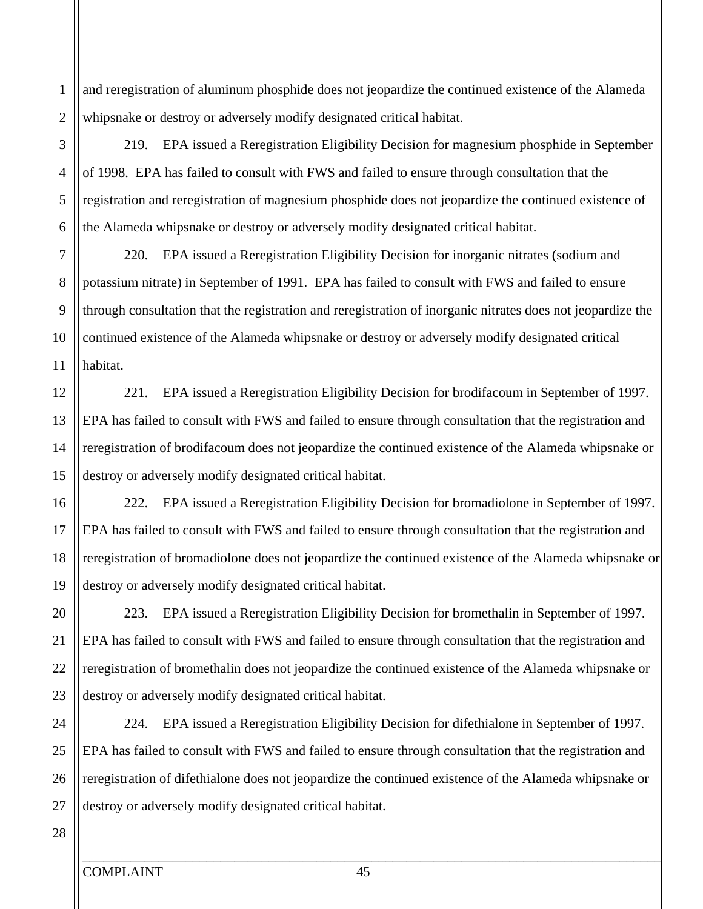2 and reregistration of aluminum phosphide does not jeopardize the continued existence of the Alameda whipsnake or destroy or adversely modify designated critical habitat.

219. EPA issued a Reregistration Eligibility Decision for magnesium phosphide in September of 1998. EPA has failed to consult with FWS and failed to ensure through consultation that the registration and reregistration of magnesium phosphide does not jeopardize the continued existence of the Alameda whipsnake or destroy or adversely modify designated critical habitat.

220. EPA issued a Reregistration Eligibility Decision for inorganic nitrates (sodium and potassium nitrate) in September of 1991. EPA has failed to consult with FWS and failed to ensure through consultation that the registration and reregistration of inorganic nitrates does not jeopardize the continued existence of the Alameda whipsnake or destroy or adversely modify designated critical habitat.

221. EPA issued a Reregistration Eligibility Decision for brodifacoum in September of 1997. EPA has failed to consult with FWS and failed to ensure through consultation that the registration and reregistration of brodifacoum does not jeopardize the continued existence of the Alameda whipsnake or destroy or adversely modify designated critical habitat.

222. EPA issued a Reregistration Eligibility Decision for bromadiolone in September of 1997. EPA has failed to consult with FWS and failed to ensure through consultation that the registration and reregistration of bromadiolone does not jeopardize the continued existence of the Alameda whipsnake or destroy or adversely modify designated critical habitat.

223. EPA issued a Reregistration Eligibility Decision for bromethalin in September of 1997. EPA has failed to consult with FWS and failed to ensure through consultation that the registration and reregistration of bromethalin does not jeopardize the continued existence of the Alameda whipsnake or destroy or adversely modify designated critical habitat.

224. EPA issued a Reregistration Eligibility Decision for difethialone in September of 1997. EPA has failed to consult with FWS and failed to ensure through consultation that the registration and reregistration of difethialone does not jeopardize the continued existence of the Alameda whipsnake or destroy or adversely modify designated critical habitat.

1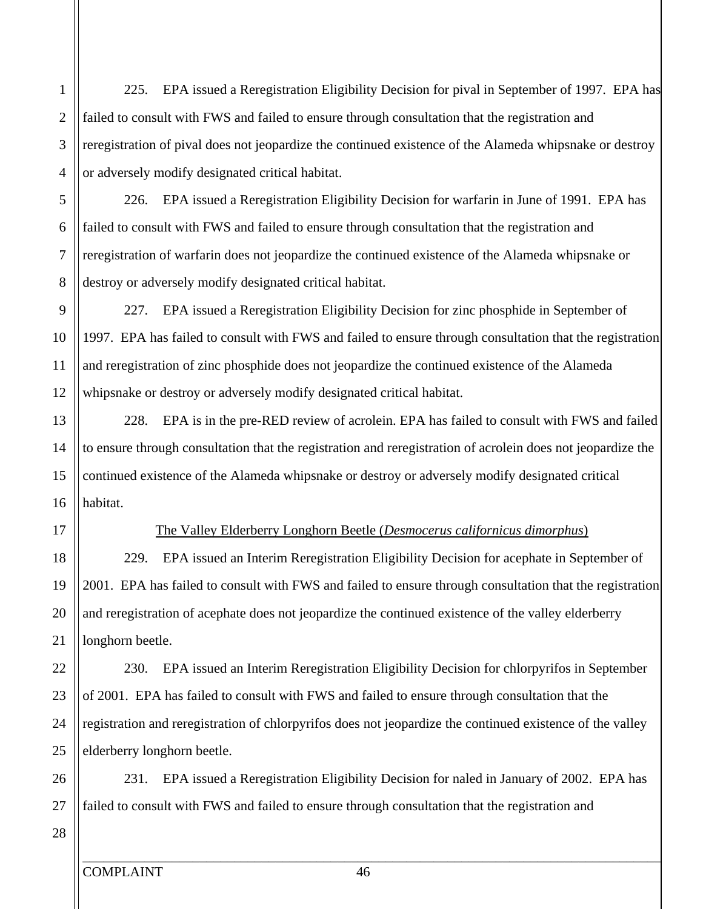225. EPA issued a Reregistration Eligibility Decision for pival in September of 1997. EPA has failed to consult with FWS and failed to ensure through consultation that the registration and reregistration of pival does not jeopardize the continued existence of the Alameda whipsnake or destroy or adversely modify designated critical habitat.

226. EPA issued a Reregistration Eligibility Decision for warfarin in June of 1991. EPA has failed to consult with FWS and failed to ensure through consultation that the registration and reregistration of warfarin does not jeopardize the continued existence of the Alameda whipsnake or destroy or adversely modify designated critical habitat.

227. EPA issued a Reregistration Eligibility Decision for zinc phosphide in September of 1997. EPA has failed to consult with FWS and failed to ensure through consultation that the registration and reregistration of zinc phosphide does not jeopardize the continued existence of the Alameda whipsnake or destroy or adversely modify designated critical habitat.

228. EPA is in the pre-RED review of acrolein. EPA has failed to consult with FWS and failed to ensure through consultation that the registration and reregistration of acrolein does not jeopardize the continued existence of the Alameda whipsnake or destroy or adversely modify designated critical habitat.

5

6

7

8

9

4

1

2

3

10

11

12

13

15

16

17

18

14

20

21

22

23

19

25

28

24

### The Valley Elderberry Longhorn Beetle (*Desmocerus californicus dimorphus*)

229. EPA issued an Interim Reregistration Eligibility Decision for acephate in September of 2001. EPA has failed to consult with FWS and failed to ensure through consultation that the registration and reregistration of acephate does not jeopardize the continued existence of the valley elderberry longhorn beetle.

230. EPA issued an Interim Reregistration Eligibility Decision for chlorpyrifos in September of 2001. EPA has failed to consult with FWS and failed to ensure through consultation that the registration and reregistration of chlorpyrifos does not jeopardize the continued existence of the valley elderberry longhorn beetle.

26 27 231. EPA issued a Reregistration Eligibility Decision for naled in January of 2002. EPA has failed to consult with FWS and failed to ensure through consultation that the registration and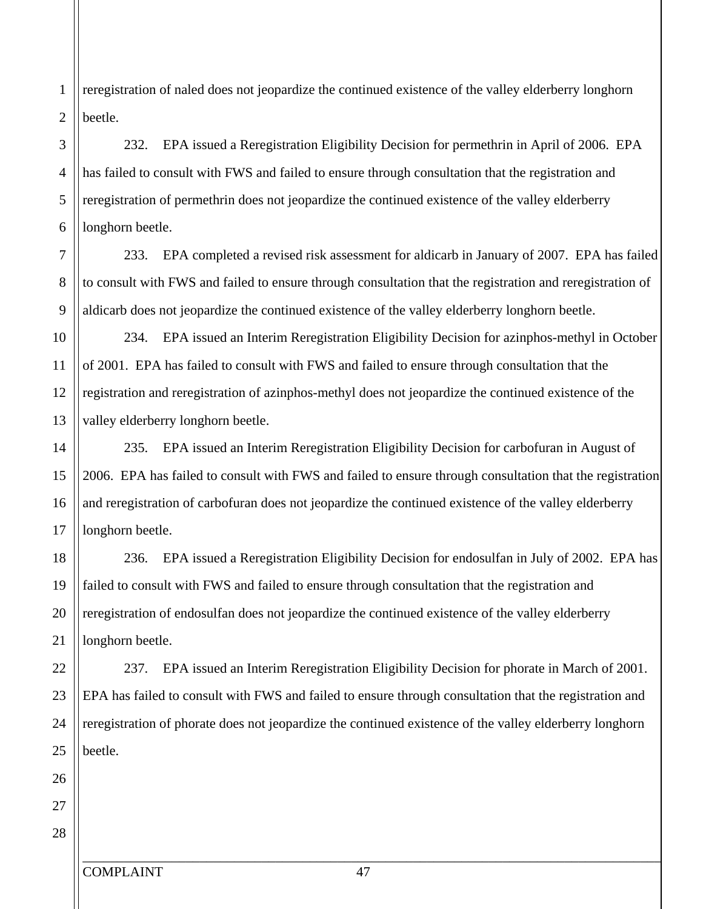reregistration of naled does not jeopardize the continued existence of the valley elderberry longhorn beetle.

# 232. EPA issued a Reregistration Eligibility Decision for permethrin in April of 2006. EPA has failed to consult with FWS and failed to ensure through consultation that the registration and reregistration of permethrin does not jeopardize the continued existence of the valley elderberry longhorn beetle.

233. EPA completed a revised risk assessment for aldicarb in January of 2007. EPA has failed to consult with FWS and failed to ensure through consultation that the registration and reregistration of aldicarb does not jeopardize the continued existence of the valley elderberry longhorn beetle.

234. EPA issued an Interim Reregistration Eligibility Decision for azinphos-methyl in October of 2001. EPA has failed to consult with FWS and failed to ensure through consultation that the registration and reregistration of azinphos-methyl does not jeopardize the continued existence of the valley elderberry longhorn beetle.

235. EPA issued an Interim Reregistration Eligibility Decision for carbofuran in August of 2006. EPA has failed to consult with FWS and failed to ensure through consultation that the registration and reregistration of carbofuran does not jeopardize the continued existence of the valley elderberry longhorn beetle.

236. EPA issued a Reregistration Eligibility Decision for endosulfan in July of 2002. EPA has failed to consult with FWS and failed to ensure through consultation that the registration and reregistration of endosulfan does not jeopardize the continued existence of the valley elderberry longhorn beetle.

237. EPA issued an Interim Reregistration Eligibility Decision for phorate in March of 2001. EPA has failed to consult with FWS and failed to ensure through consultation that the registration and reregistration of phorate does not jeopardize the continued existence of the valley elderberry longhorn beetle.

1

2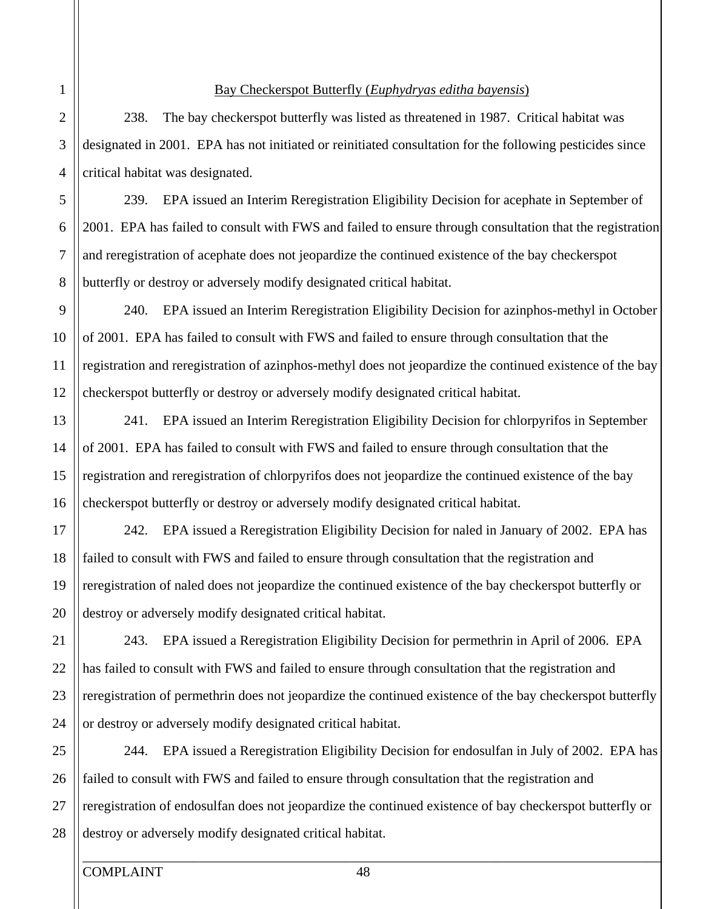#### Bay Checkerspot Butterfly (*Euphydryas editha bayensis*)

238. The bay checkerspot butterfly was listed as threatened in 1987. Critical habitat was designated in 2001. EPA has not initiated or reinitiated consultation for the following pesticides since critical habitat was designated.

239. EPA issued an Interim Reregistration Eligibility Decision for acephate in September of 2001. EPA has failed to consult with FWS and failed to ensure through consultation that the registration and reregistration of acephate does not jeopardize the continued existence of the bay checkerspot butterfly or destroy or adversely modify designated critical habitat.

240. EPA issued an Interim Reregistration Eligibility Decision for azinphos-methyl in October of 2001. EPA has failed to consult with FWS and failed to ensure through consultation that the registration and reregistration of azinphos-methyl does not jeopardize the continued existence of the bay checkerspot butterfly or destroy or adversely modify designated critical habitat.

241. EPA issued an Interim Reregistration Eligibility Decision for chlorpyrifos in September of 2001. EPA has failed to consult with FWS and failed to ensure through consultation that the registration and reregistration of chlorpyrifos does not jeopardize the continued existence of the bay checkerspot butterfly or destroy or adversely modify designated critical habitat.

242. EPA issued a Reregistration Eligibility Decision for naled in January of 2002. EPA has failed to consult with FWS and failed to ensure through consultation that the registration and reregistration of naled does not jeopardize the continued existence of the bay checkerspot butterfly or destroy or adversely modify designated critical habitat.

243. EPA issued a Reregistration Eligibility Decision for permethrin in April of 2006. EPA has failed to consult with FWS and failed to ensure through consultation that the registration and reregistration of permethrin does not jeopardize the continued existence of the bay checkerspot butterfly or destroy or adversely modify designated critical habitat.

244. EPA issued a Reregistration Eligibility Decision for endosulfan in July of 2002. EPA has failed to consult with FWS and failed to ensure through consultation that the registration and reregistration of endosulfan does not jeopardize the continued existence of bay checkerspot butterfly or destroy or adversely modify designated critical habitat.

1

2